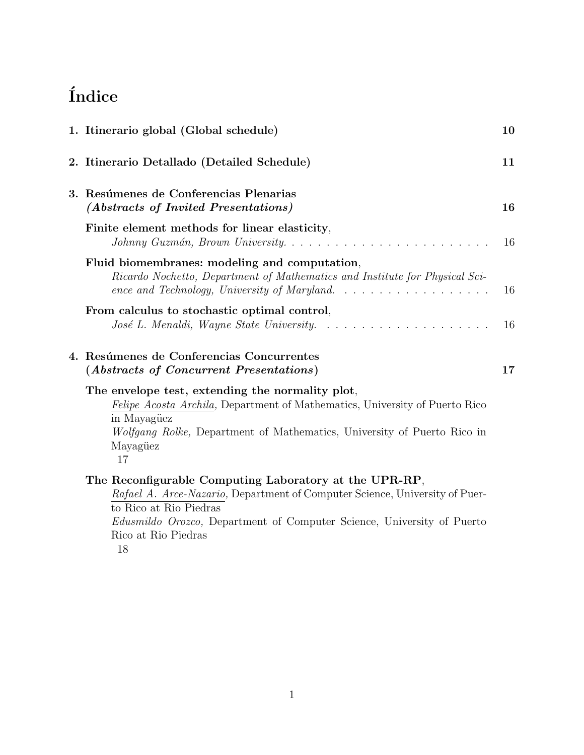# $\operatorname{\^}$

| 1. Itinerario global (Global schedule)                                                                                                                                                                                                              | 10 |
|-----------------------------------------------------------------------------------------------------------------------------------------------------------------------------------------------------------------------------------------------------|----|
| 2. Itinerario Detallado (Detailed Schedule)                                                                                                                                                                                                         | 11 |
| 3. Resúmenes de Conferencias Plenarias<br>(Abstracts of Invited Presentations)                                                                                                                                                                      | 16 |
| Finite element methods for linear elasticity,                                                                                                                                                                                                       | 16 |
| Fluid biomembranes: modeling and computation,<br>Ricardo Nochetto, Department of Mathematics and Institute for Physical Sci-<br>ence and Technology, University of Maryland. $\ldots \ldots \ldots \ldots \ldots$                                   | 16 |
| From calculus to stochastic optimal control,                                                                                                                                                                                                        |    |
|                                                                                                                                                                                                                                                     | 16 |
| 4. Resúmenes de Conferencias Concurrentes<br>(Abstracts of Concurrent Presentations)                                                                                                                                                                | 17 |
| The envelope test, extending the normality plot,<br><i>Felipe Acosta Archila</i> , Department of Mathematics, University of Puerto Rico<br>in Mayagüez<br>Wolfgang Rolke, Department of Mathematics, University of Puerto Rico in<br>Mayagüez<br>17 |    |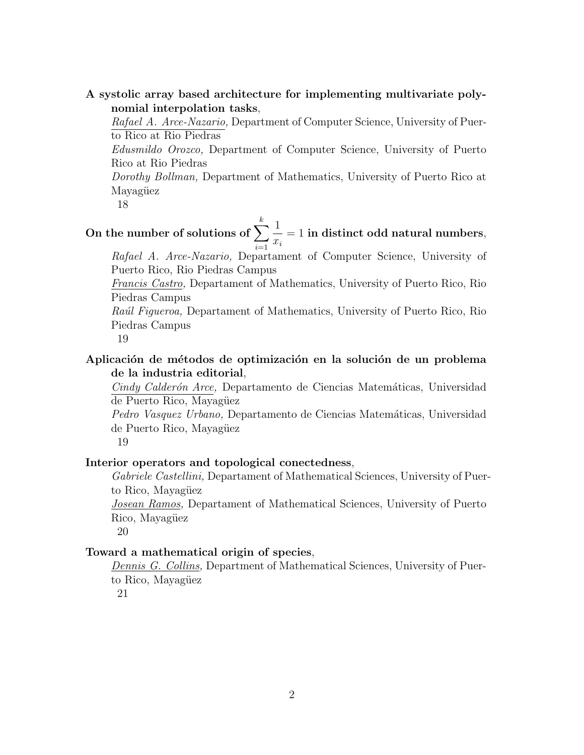### A systolic array based architecture for implementing multivariate polynomial interpolation tasks,

Rafael A. Arce-Nazario, Department of Computer Science, University of Puerto Rico at Rio Piedras

Edusmildo Orozco, Department of Computer Science, University of Puerto Rico at Rio Piedras

Dorothy Bollman, Department of Mathematics, University of Puerto Rico at Mayagüez

18

On the number of solutions of  $\sum_{k=1}^{k}$  $i=1$ 1  $\dot{x_i}$  $= 1$  in distinct odd natural numbers,

Rafael A. Arce-Nazario, Departament of Computer Science, University of Puerto Rico, Rio Piedras Campus

Francis Castro, Departament of Mathematics, University of Puerto Rico, Rio Piedras Campus

Raúl Figueroa, Departament of Mathematics, University of Puerto Rico, Rio Piedras Campus

19

### Aplicación de métodos de optimización en la solución de un problema de la industria editorial,

Cindy Calderón Arce, Departamento de Ciencias Matemáticas, Universidad de Puerto Rico, Mayagüez

Pedro Vasquez Urbano, Departamento de Ciencias Matemáticas, Universidad de Puerto Rico, Mayagüez

19

### Interior operators and topological conectedness,

Gabriele Castellini, Departament of Mathematical Sciences, University of Puerto Rico, Mayagüez

Josean Ramos, Departament of Mathematical Sciences, University of Puerto Rico, Mayagüez

20

#### Toward a mathematical origin of species,

Dennis G. Collins, Department of Mathematical Sciences, University of Puerto Rico, Mayagüez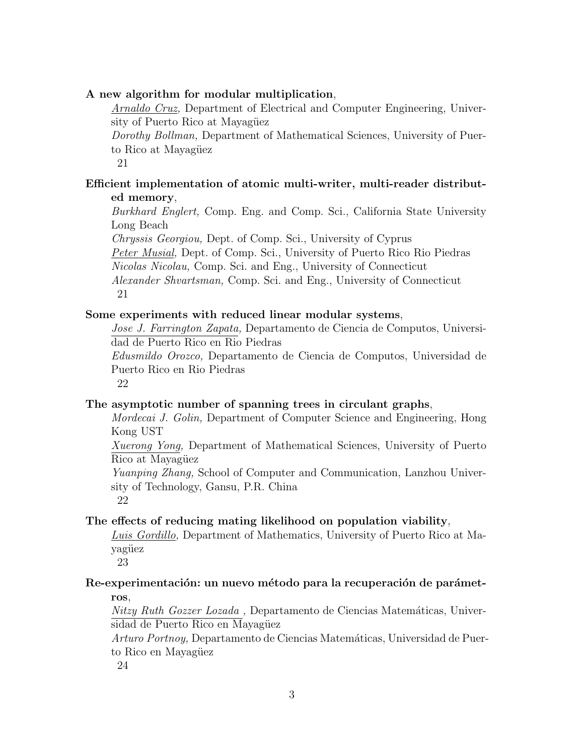#### A new algorithm for modular multiplication,

Arnaldo Cruz, Department of Electrical and Computer Engineering, University of Puerto Rico at Mayagüez

Dorothy Bollman, Department of Mathematical Sciences, University of Puerto Rico at Mayagüez

21

## Efficient implementation of atomic multi-writer, multi-reader distributed memory,

Burkhard Englert, Comp. Eng. and Comp. Sci., California State University Long Beach

Chryssis Georgiou, Dept. of Comp. Sci., University of Cyprus

Peter Musial, Dept. of Comp. Sci., University of Puerto Rico Rio Piedras Nicolas Nicolau, Comp. Sci. and Eng., University of Connecticut

Alexander Shvartsman, Comp. Sci. and Eng., University of Connecticut 21

#### Some experiments with reduced linear modular systems,

Jose J. Farrington Zapata, Departamento de Ciencia de Computos, Universidad de Puerto Rico en Rio Piedras

Edusmildo Orozco, Departamento de Ciencia de Computos, Universidad de Puerto Rico en Rio Piedras

22

#### The asymptotic number of spanning trees in circulant graphs,

Mordecai J. Golin, Department of Computer Science and Engineering, Hong Kong UST

Xuerong Yong, Department of Mathematical Sciences, University of Puerto Rico at Mayagüez

Yuanping Zhang, School of Computer and Communication, Lanzhou University of Technology, Gansu, P.R. China

22

#### The effects of reducing mating likelihood on population viability,

Luis Gordillo, Department of Mathematics, University of Puerto Rico at Mayagüez

23

#### Re-experimentación: un nuevo método para la recuperación de parámetros,

Nitzy Ruth Gozzer Lozada, Departamento de Ciencias Matemáticas, Universidad de Puerto Rico en Mayagüez

Arturo Portnoy, Departamento de Ciencias Matemáticas, Universidad de Puerto Rico en Mayagüez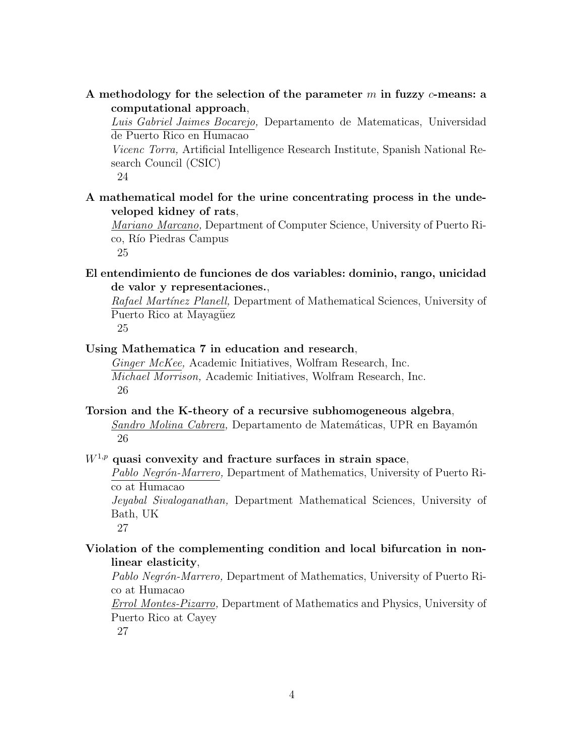### A methodology for the selection of the parameter  $m$  in fuzzy  $c$ -means: a computational approach,

Luis Gabriel Jaimes Bocarejo, Departamento de Matematicas, Universidad de Puerto Rico en Humacao

Vicenc Torra, Artificial Intelligence Research Institute, Spanish National Research Council (CSIC)

24

### A mathematical model for the urine concentrating process in the undeveloped kidney of rats,

Mariano Marcano, Department of Computer Science, University of Puerto Rico, Río Piedras Campus

25

## El entendimiento de funciones de dos variables: dominio, rango, unicidad de valor y representaciones.,

Rafael Martínez Planell, Department of Mathematical Sciences, University of Puerto Rico at Mayagüez 25

#### Using Mathematica 7 in education and research,

Ginger McKee, Academic Initiatives, Wolfram Research, Inc. Michael Morrison, Academic Initiatives, Wolfram Research, Inc. 26

### Torsion and the K-theory of a recursive subhomogeneous algebra, Sandro Molina Cabrera, Departamento de Matemáticas, UPR en Bayamón 26

#### $W^{1,p}$  quasi convexity and fracture surfaces in strain space,

Pablo Negrón-Marrero, Department of Mathematics, University of Puerto Rico at Humacao

Jeyabal Sivaloganathan, Department Mathematical Sciences, University of Bath, UK

27

### Violation of the complementing condition and local bifurcation in nonlinear elasticity,

Pablo Negrón-Marrero, Department of Mathematics, University of Puerto Rico at Humacao

Errol Montes-Pizarro, Department of Mathematics and Physics, University of Puerto Rico at Cayey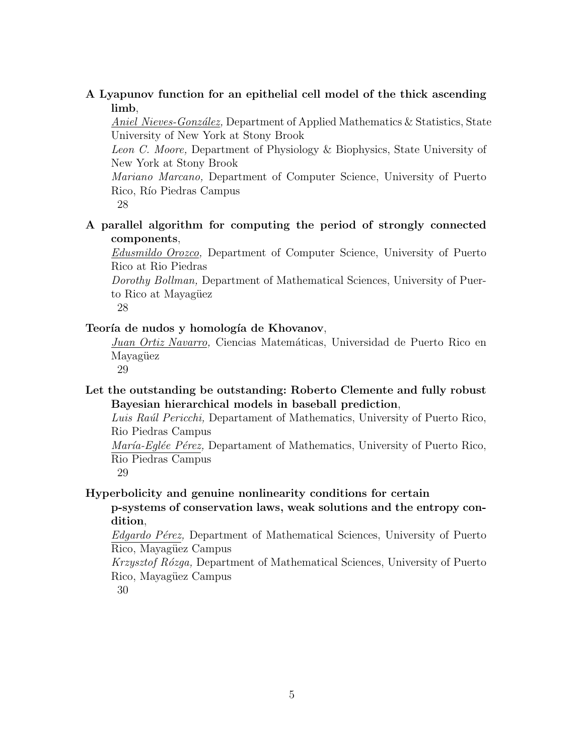### A Lyapunov function for an epithelial cell model of the thick ascending limb,

Aniel Nieves-González, Department of Applied Mathematics & Statistics, State University of New York at Stony Brook

Leon C. Moore, Department of Physiology & Biophysics, State University of New York at Stony Brook

Mariano Marcano, Department of Computer Science, University of Puerto Rico, Río Piedras Campus

28

## A parallel algorithm for computing the period of strongly connected components,

Edusmildo Orozco, Department of Computer Science, University of Puerto Rico at Rio Piedras

Dorothy Bollman, Department of Mathematical Sciences, University of Puerto Rico at Mayagüez

28

### Teoría de nudos y homología de Khovanov,

Juan Ortiz Navarro, Ciencias Matemáticas, Universidad de Puerto Rico en Mayagüez

29

# Let the outstanding be outstanding: Roberto Clemente and fully robust Bayesian hierarchical models in baseball prediction,

Luis Raúl Pericchi, Departament of Mathematics, University of Puerto Rico, Rio Piedras Campus

María-Eglée Pérez, Departament of Mathematics, University of Puerto Rico, Rio Piedras Campus

29

Hyperbolicity and genuine nonlinearity conditions for certain

p-systems of conservation laws, weak solutions and the entropy condition,

Edgardo Pérez, Department of Mathematical Sciences, University of Puerto Rico, Mayagüez Campus

Krzysztof Rózga, Department of Mathematical Sciences, University of Puerto Rico, Mayagüez Campus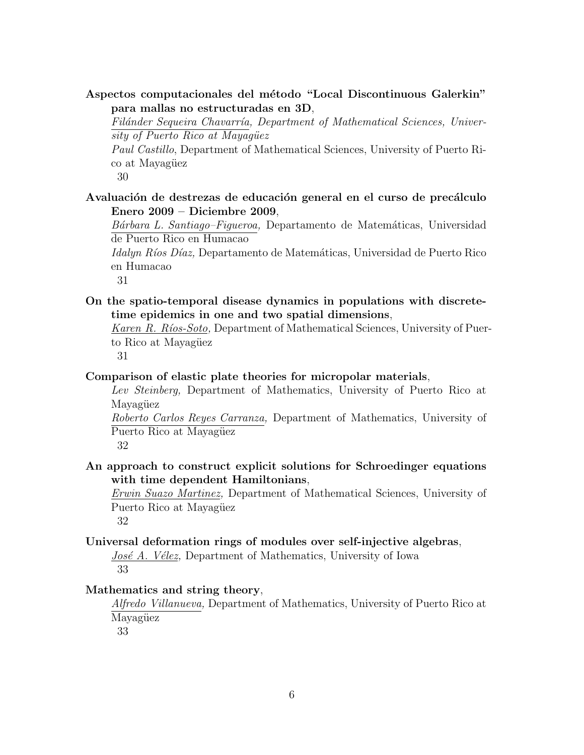### Aspectos computacionales del método "Local Discontinuous Galerkin" para mallas no estructuradas en 3D,

Filánder Sequeira Chavarría, Department of Mathematical Sciences, University of Puerto Rico at Mayagüez

Paul Castillo, Department of Mathematical Sciences, University of Puerto Rico at Mayagüez

30

Avaluación de destrezas de educación general en el curso de precálculo Enero 2009 – Diciembre 2009,

Bárbara L. Santiago–Figueroa, Departamento de Matemáticas, Universidad de Puerto Rico en Humacao

Idalyn Ríos Díaz, Departamento de Matemáticas, Universidad de Puerto Rico en Humacao

31

On the spatio-temporal disease dynamics in populations with discretetime epidemics in one and two spatial dimensions,

Karen R. Ríos-Soto, Department of Mathematical Sciences, University of Puerto Rico at Mayagüez

31

#### Comparison of elastic plate theories for micropolar materials,

Lev Steinberg, Department of Mathematics, University of Puerto Rico at Mayagüez

Roberto Carlos Reyes Carranza, Department of Mathematics, University of Puerto Rico at Mayagüez

32

## An approach to construct explicit solutions for Schroedinger equations with time dependent Hamiltonians,

Erwin Suazo Martinez, Department of Mathematical Sciences, University of Puerto Rico at Mayagüez

32

#### Universal deformation rings of modules over self-injective algebras,

José A. Vélez, Department of Mathematics, University of Iowa 33

#### Mathematics and string theory,

Alfredo Villanueva, Department of Mathematics, University of Puerto Rico at Mayagüez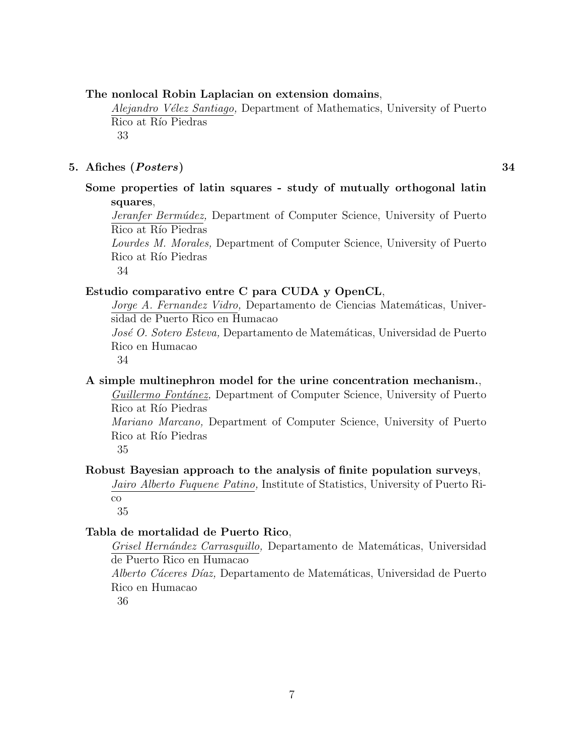#### The nonlocal Robin Laplacian on extension domains,

Alejandro Vélez Santiago, Department of Mathematics, University of Puerto Rico at Río Piedras 33

#### 5. Afiches (Posters) 34

### Some properties of latin squares - study of mutually orthogonal latin squares,

Jeranfer Bermúdez, Department of Computer Science, University of Puerto Rico at Río Piedras

Lourdes M. Morales, Department of Computer Science, University of Puerto Rico at Río Piedras

34

#### Estudio comparativo entre C para CUDA y OpenCL,

Jorge A. Fernandez Vidro, Departamento de Ciencias Matemáticas, Universidad de Puerto Rico en Humacao

José O. Sotero Esteva, Departamento de Matemáticas, Universidad de Puerto Rico en Humacao

34

#### A simple multinephron model for the urine concentration mechanism.,

Guillermo Fontánez, Department of Computer Science, University of Puerto Rico at Río Piedras

Mariano Marcano, Department of Computer Science, University of Puerto Rico at Río Piedras

35

#### Robust Bayesian approach to the analysis of finite population surveys,

Jairo Alberto Fuquene Patino, Institute of Statistics, University of Puerto Rico

35

#### Tabla de mortalidad de Puerto Rico,

Grisel Hernández Carrasquillo, Departamento de Matemáticas, Universidad de Puerto Rico en Humacao

Alberto Cáceres Díaz, Departamento de Matemáticas, Universidad de Puerto Rico en Humacao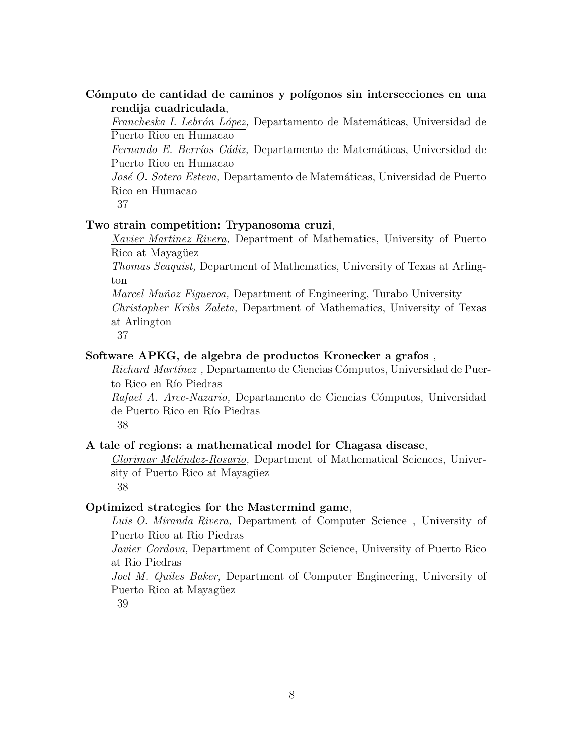### Cómputo de cantidad de caminos y polígonos sin intersecciones en una rendija cuadriculada,

Francheska I. Lebrón López, Departamento de Matemáticas, Universidad de Puerto Rico en Humacao

Fernando E. Berríos Cádiz, Departamento de Matemáticas, Universidad de Puerto Rico en Humacao

José O. Sotero Esteva, Departamento de Matemáticas, Universidad de Puerto Rico en Humacao

37

### Two strain competition: Trypanosoma cruzi,

Xavier Martinez Rivera, Department of Mathematics, University of Puerto Rico at Mayagüez

Thomas Seaquist, Department of Mathematics, University of Texas at Arlington

Marcel Muñoz Figueroa, Department of Engineering, Turabo University Christopher Kribs Zaleta, Department of Mathematics, University of Texas at Arlington

37

#### Software APKG, de algebra de productos Kronecker a grafos ,

Richard Martínez. Departamento de Ciencias Cómputos, Universidad de Puerto Rico en Río Piedras

Rafael A. Arce-Nazario, Departamento de Ciencias Cómputos, Universidad de Puerto Rico en Río Piedras

38

#### A tale of regions: a mathematical model for Chagasa disease,

Glorimar Meléndez-Rosario, Department of Mathematical Sciences, University of Puerto Rico at Mayagüez

38

#### Optimized strategies for the Mastermind game,

Luis O. Miranda Rivera, Department of Computer Science , University of Puerto Rico at Rio Piedras

Javier Cordova, Department of Computer Science, University of Puerto Rico at Rio Piedras

Joel M. Quiles Baker, Department of Computer Engineering, University of Puerto Rico at Mayagüez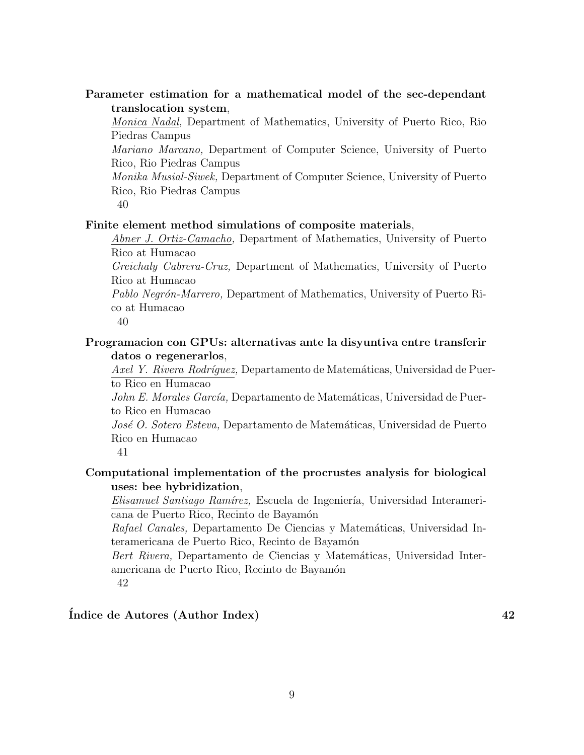### Parameter estimation for a mathematical model of the sec-dependant translocation system,

Monica Nadal, Department of Mathematics, University of Puerto Rico, Rio Piedras Campus

Mariano Marcano, Department of Computer Science, University of Puerto Rico, Rio Piedras Campus

Monika Musial-Siwek, Department of Computer Science, University of Puerto Rico, Rio Piedras Campus

40

#### Finite element method simulations of composite materials,

Abner J. Ortiz-Camacho, Department of Mathematics, University of Puerto Rico at Humacao

Greichaly Cabrera-Cruz, Department of Mathematics, University of Puerto Rico at Humacao

Pablo Negrón-Marrero, Department of Mathematics, University of Puerto Rico at Humacao

40

#### Programacion con GPUs: alternativas ante la disyuntiva entre transferir datos o regenerarlos,

Axel Y. Rivera Rodríquez, Departamento de Matemáticas, Universidad de Puerto Rico en Humacao

John E. Morales García, Departamento de Matemáticas, Universidad de Puerto Rico en Humacao

José O. Sotero Esteva, Departamento de Matemáticas, Universidad de Puerto Rico en Humacao

41

## Computational implementation of the procrustes analysis for biological uses: bee hybridization,

Elisamuel Santiago Ramírez, Escuela de Ingeniería, Universidad Interamericana de Puerto Rico, Recinto de Bayamón

Rafael Canales, Departamento De Ciencias y Matemáticas, Universidad Interamericana de Puerto Rico, Recinto de Bayamón

Bert Rivera, Departamento de Ciencias y Matemáticas, Universidad Interamericana de Puerto Rico, Recinto de Bayamón 42

### $\int$ Indice de Autores (Author Index) 42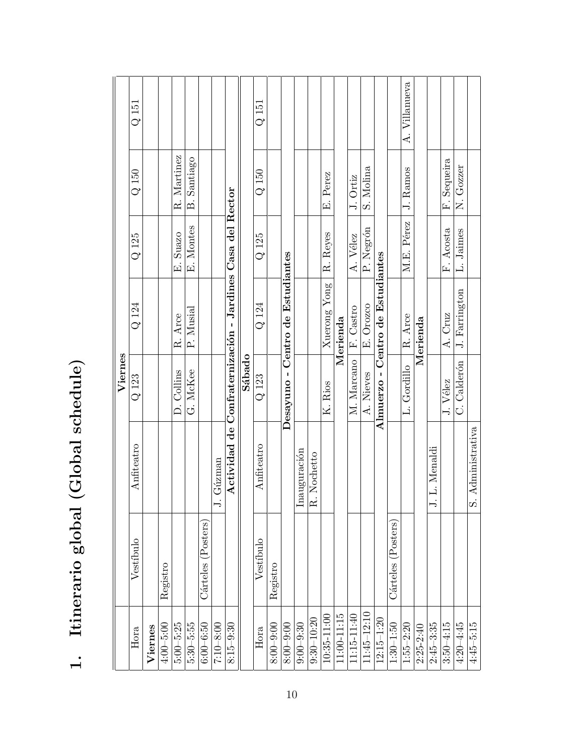| )<br>1                             |
|------------------------------------|
| c<br>S<br>$\overline{\mathcal{L}}$ |
| $\sim$ $\sigma$ $\Omega$           |
| しこと しょくしょ                          |
| ١                                  |

| Hora            |                       |                     | Viernes             |                                                           |                            |                |               |
|-----------------|-----------------------|---------------------|---------------------|-----------------------------------------------------------|----------------------------|----------------|---------------|
|                 | Vestíbulo             | Anfiteatro          | Q 123               | Q 124                                                     | $Q$ 125                    | $Q$ 150        | $Q$ 151       |
| Viernes         |                       |                     |                     |                                                           |                            |                |               |
| $4:00 - 5:00$   | Registro              |                     |                     |                                                           |                            |                |               |
| $5:00 - 5:25$   |                       |                     | Collins<br>$\Delta$ | Arce<br>R.                                                | Suazo<br><sub>.</sub><br>中 | Martinez<br>Ŗ. |               |
| $5:30 - 5:55$   |                       |                     | G. McKee            | P. Musial                                                 | E. Montes                  | B. Santiago    |               |
| $6:00 - 6:50$   | Cárteles (Posters)    |                     |                     |                                                           |                            |                |               |
| $7:10 - 8:00$   |                       | Gúzman<br>J.        |                     |                                                           |                            |                |               |
| $8:15 - 9:30$   |                       |                     |                     | Actividad de Confraternización - Jardines Casa del Rector |                            |                |               |
|                 |                       |                     | Sábado              |                                                           |                            |                |               |
| Hora            | Vestíbulo             | Anfiteatro          | $Q$ 123             | Q 124                                                     | $Q$ 125                    | $Q$ 150        | $Q$ 151       |
| $8:00 - 9:00$   | Registro              |                     |                     |                                                           |                            |                |               |
| $8:00 - 9:00$   |                       |                     | Desayuno-           | Centro de Estudiantes                                     |                            |                |               |
| $9:00 - 9:30$   |                       | Inauguración        |                     |                                                           |                            |                |               |
| $9:30 - 10:20$  |                       | R. Nochetto         |                     |                                                           |                            |                |               |
| 10:35-11:00     |                       |                     | K. Rios             | Xuerong Yong                                              | R. Reyes                   | E. Perez       |               |
| $11:00-11:15$   |                       |                     |                     | Merienda                                                  |                            |                |               |
| 11:15-11:40     |                       |                     | M. Marcano          | F. Castro                                                 | A. Vélez                   | J. Ortiz       |               |
| $11:45 - 12:10$ |                       |                     | A. Nieves           | E. Orozco                                                 | P. Negrón                  | S. Molina      |               |
| $12:15 - 1:20$  |                       |                     | Almuerzo -          | Centro de Estudiantes                                     |                            |                |               |
| $1:30 - 1:50$   | (Posters)<br>Cárteles |                     |                     |                                                           |                            |                |               |
| $1:55 - 2:20$   |                       |                     | L. Gordillo         | R. Arce                                                   | M.E. Pérez                 | J. Ramos       | A. Villanueva |
| $2:25 - 2:40$   |                       |                     |                     | Merienda                                                  |                            |                |               |
| $2:45 - 3:35$   |                       | L. Menaldi<br>⊢.    |                     |                                                           |                            |                |               |
| $3:50 - 4:15$   |                       |                     | J. Vélez            | A. Cruz                                                   | F. Acosta                  | F. Sequeira    |               |
| $4:20 - 4:45$   |                       |                     | C. Calderón         | J. Farrington                                             | L. Jaimes                  | N. Gozzer      |               |
| $4:45 - 5:15$   |                       | Administrativa<br>S |                     |                                                           |                            |                |               |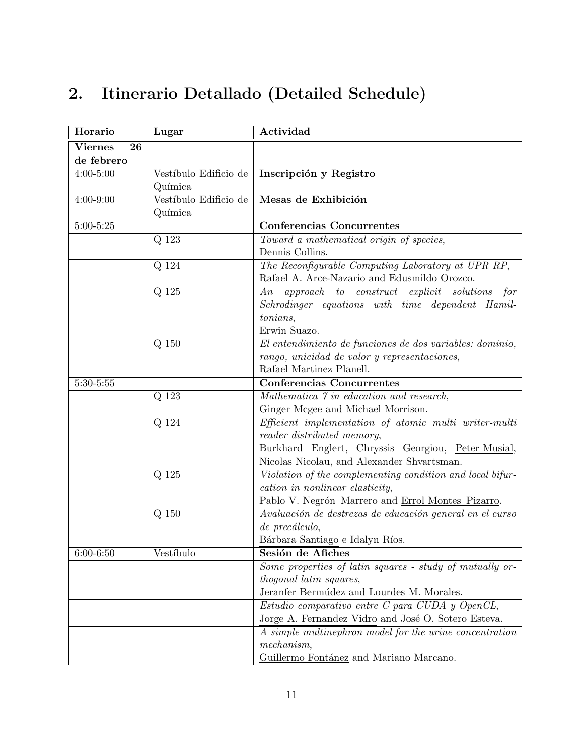# 2. Itinerario Detallado (Detailed Schedule)

| Horario              | Lugar                 | Actividad                                                 |
|----------------------|-----------------------|-----------------------------------------------------------|
| <b>Viernes</b><br>26 |                       |                                                           |
| de febrero           |                       |                                                           |
| $4:00 - 5:00$        | Vestíbulo Edificio de | Inscripción y Registro                                    |
|                      | Química               |                                                           |
| $4:00 - 9:00$        | Vestíbulo Edificio de | Mesas de Exhibición                                       |
|                      | Química               |                                                           |
| $5:00 - 5:25$        |                       | Conferencias Concurrentes                                 |
|                      | Q 123                 | Toward a mathematical origin of species,                  |
|                      |                       | Dennis Collins.                                           |
|                      | Q 124                 | The Reconfigurable Computing Laboratory at UPR RP,        |
|                      |                       | Rafael A. Arce-Nazario and Edusmildo Orozco.              |
|                      | Q 125                 | An approach to construct explicit solutions<br>for        |
|                      |                       | Schrodinger equations with time dependent Hamil-          |
|                      |                       | tonians,                                                  |
|                      |                       | Erwin Suazo.                                              |
|                      | $Q$ 150               | El entendimiento de funciones de dos variables: dominio,  |
|                      |                       | rango, unicidad de valor y representaciones,              |
|                      |                       | Rafael Martinez Planell.                                  |
| $5:30 - 5:55$        |                       | <b>Conferencias Concurrentes</b>                          |
|                      | Q 123                 | Mathematica 7 in education and research,                  |
|                      |                       | Ginger Mcgee and Michael Morrison.                        |
|                      | Q 124                 | Efficient implementation of atomic multi writer-multi     |
|                      |                       | reader distributed memory,                                |
|                      |                       | Burkhard Englert, Chryssis Georgiou, Peter Musial,        |
|                      |                       | Nicolas Nicolau, and Alexander Shvartsman.                |
|                      | Q 125                 | Violation of the complementing condition and local bifur- |
|                      |                       | cation in nonlinear elasticity,                           |
|                      |                       | Pablo V. Negrón-Marrero and Errol Montes-Pizarro.         |
|                      | $Q$ 150               | Avaluación de destrezas de educación general en el curso  |
|                      |                       | de precálculo,                                            |
|                      |                       | Bárbara Santiago e Idalyn Ríos.                           |
| $6:00 - 6:50$        | Vestíbulo             | Sesión de Afiches                                         |
|                      |                       | Some properties of latin squares - study of mutually or-  |
|                      |                       | thogonal latin squares,                                   |
|                      |                       | Jeranfer Bermúdez and Lourdes M. Morales.                 |
|                      |                       | $Estudio$ comparativo entre $C$ para $CUDA$ y $OpenCL$ ,  |
|                      |                       | Jorge A. Fernandez Vidro and José O. Sotero Esteva.       |
|                      |                       | A simple multinephron model for the urine concentration   |
|                      |                       | mechanism,                                                |
|                      |                       | Guillermo Fontánez and Mariano Marcano.                   |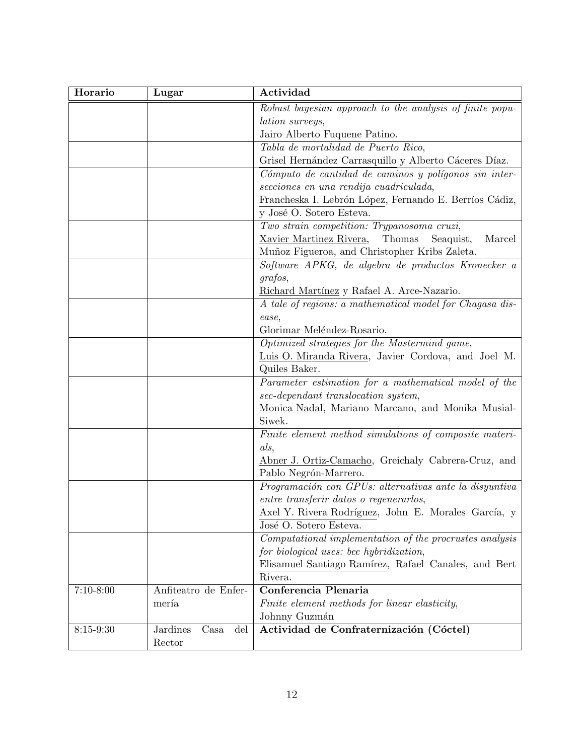| Horario       | Lugar                          | Actividad                                                |
|---------------|--------------------------------|----------------------------------------------------------|
|               |                                | Robust bayesian approach to the analysis of finite popu- |
|               |                                | <i>lation surveys,</i>                                   |
|               |                                | Jairo Alberto Fuquene Patino.                            |
|               |                                | Tabla de mortalidad de Puerto Rico,                      |
|               |                                | Grisel Hernández Carrasquillo y Alberto Cáceres Díaz.    |
|               |                                | Cómputo de cantidad de caminos y polígonos sin inter-    |
|               |                                | secciones en una rendija cuadriculada,                   |
|               |                                | Francheska I. Lebrón López, Fernando E. Berríos Cádiz,   |
|               |                                | y José O. Sotero Esteva.                                 |
|               |                                | Two strain competition: Trypanosoma cruzi,               |
|               |                                | Xavier Martinez Rivera,<br>Thomas<br>Marcel<br>Seaquist, |
|               |                                | Muñoz Figueroa, and Christopher Kribs Zaleta.            |
|               |                                | Software APKG, de algebra de productos Kronecker a       |
|               |                                | grafos,                                                  |
|               |                                | Richard Martínez y Rafael A. Arce-Nazario.               |
|               |                                | A tale of regions: a mathematical model for Chagasa dis- |
|               |                                | ease,                                                    |
|               |                                | Glorimar Meléndez-Rosario.                               |
|               |                                | Optimized strategies for the Mastermind game,            |
|               |                                | Luis O. Miranda Rivera, Javier Cordova, and Joel M.      |
|               |                                | Quiles Baker.                                            |
|               |                                | Parameter estimation for a mathematical model of the     |
|               |                                | sec-dependant translocation system,                      |
|               |                                | Monica Nadal, Mariano Marcano, and Monika Musial-        |
|               |                                | Siwek.                                                   |
|               |                                | Finite element method simulations of composite materi-   |
|               |                                | als,                                                     |
|               |                                | Abner J. Ortiz-Camacho, Greichaly Cabrera-Cruz, and      |
|               |                                | Pablo Negrón-Marrero.                                    |
|               |                                | Programación con GPUs: alternativas ante la disyuntiva   |
|               |                                | entre transferir datos o regenerarlos,                   |
|               |                                | Axel Y. Rivera Rodríguez, John E. Morales García, y      |
|               |                                | José O. Sotero Esteva.                                   |
|               |                                | Computational implementation of the procrustes analysis  |
|               |                                | for biological uses: bee hybridization,                  |
|               |                                | Elisamuel Santiago Ramírez, Rafael Canales, and Bert     |
|               |                                | Rivera.                                                  |
| $7:10 - 8:00$ | Anfiteatro de Enfer-           | Conferencia Plenaria                                     |
|               | mería                          | Finite element methods for linear elasticity,            |
|               |                                | Johnny Guzmán                                            |
| $8:15-9:30$   | <b>Jardines</b><br>Casa<br>del | Actividad de Confraternización (Cóctel)                  |
|               | Rector                         |                                                          |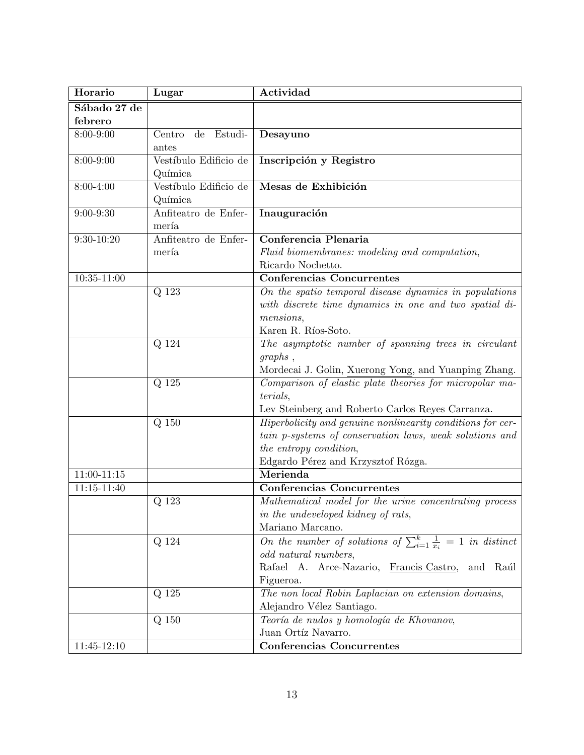| Horario         | Lugar                 | Actividad                                                                    |
|-----------------|-----------------------|------------------------------------------------------------------------------|
| Sábado 27 de    |                       |                                                                              |
| febrero         |                       |                                                                              |
| 8:00-9:00       | de Estudi-<br>Centro  | Desayuno                                                                     |
|                 | antes                 |                                                                              |
| 8:00-9:00       | Vestíbulo Edificio de | Inscripción y Registro                                                       |
|                 | Química               |                                                                              |
| 8:00-4:00       | Vestíbulo Edificio de | Mesas de Exhibición                                                          |
|                 | Química               |                                                                              |
| $9:00 - 9:30$   | Anfiteatro de Enfer-  | Inauguración                                                                 |
|                 | mería                 |                                                                              |
| $9:30 - 10:20$  | Anfiteatro de Enfer-  | Conferencia Plenaria                                                         |
|                 | mería                 | Fluid biomembranes: modeling and computation,                                |
|                 |                       | Ricardo Nochetto.                                                            |
| $10:35 - 11:00$ |                       | <b>Conferencias Concurrentes</b>                                             |
|                 | Q 123                 | On the spatio temporal disease dynamics in populations                       |
|                 |                       | with discrete time dynamics in one and two spatial di-                       |
|                 |                       | mensions,                                                                    |
|                 |                       | Karen R. Ríos-Soto.                                                          |
|                 | Q 124                 | The asymptotic number of spanning trees in circulant                         |
|                 |                       | graphs,                                                                      |
|                 |                       | Mordecai J. Golin, Xuerong Yong, and Yuanping Zhang.                         |
|                 | Q 125                 | Comparison of elastic plate theories for micropolar ma-                      |
|                 |                       | terials,                                                                     |
|                 |                       | Lev Steinberg and Roberto Carlos Reyes Carranza.                             |
|                 | $Q$ 150               | Hiperbolicity and genuine nonlinearity conditions for cer-                   |
|                 |                       | tain p-systems of conservation laws, weak solutions and                      |
|                 |                       | the entropy condition,                                                       |
|                 |                       | Edgardo Pérez and Krzysztof Rózga.                                           |
| $11:00-11:15$   |                       | Merienda                                                                     |
| $11:15 - 11:40$ |                       | Conferencias Concurrentes                                                    |
|                 | Q 123                 | Mathematical model for the urine concentrating process                       |
|                 |                       | in the undeveloped kidney of rats,                                           |
|                 |                       | Mariano Marcano.                                                             |
|                 | Q 124                 | On the number of solutions of $\sum_{i=1}^{k} \frac{1}{x_i} = 1$ in distinct |
|                 |                       | odd natural numbers,                                                         |
|                 |                       | Rafael A. Arce-Nazario, Francis Castro,<br>and Raúl                          |
|                 |                       | Figueroa.                                                                    |
|                 | Q 125                 | The non local Robin Laplacian on extension domains,                          |
|                 |                       | Alejandro Vélez Santiago.                                                    |
|                 | Q 150                 | Teoría de nudos y homología de Khovanov,                                     |
|                 |                       | Juan Ortíz Navarro.                                                          |
| $11:45 - 12:10$ |                       | <b>Conferencias Concurrentes</b>                                             |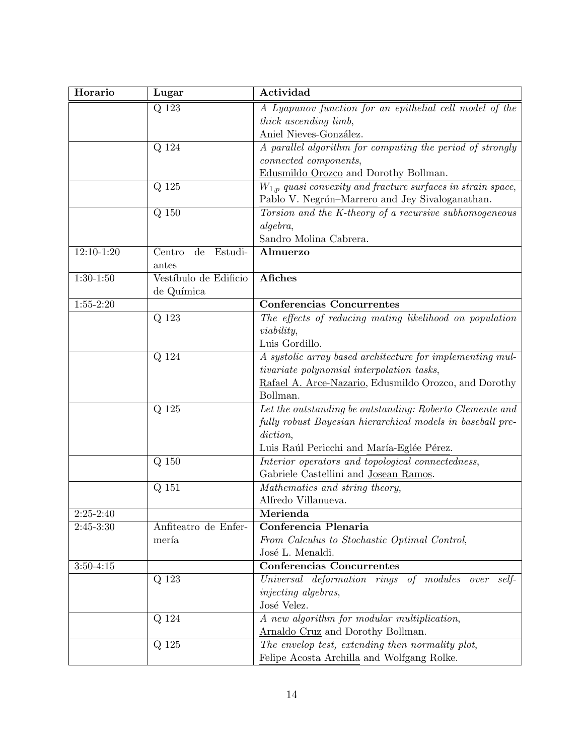| Horario       | Lugar                                       | Actividad                                                        |
|---------------|---------------------------------------------|------------------------------------------------------------------|
|               | Q 123                                       | A Lyapunov function for an epithelial cell model of the          |
|               |                                             | thick ascending limb,                                            |
|               |                                             | Aniel Nieves-González.                                           |
|               | $Q$ 124                                     | A parallel algorithm for computing the period of strongly        |
|               |                                             | connected components,                                            |
|               |                                             | Edusmildo Orozco and Dorothy Bollman.                            |
|               | Q 125                                       | $W_{1,p}$ quasi convexity and fracture surfaces in strain space, |
|               |                                             | Pablo V. Negrón-Marrero and Jey Sivaloganathan.                  |
|               | Q 150                                       | Torsion and the K-theory of a recursive subhomogeneous           |
|               |                                             | algebra,                                                         |
|               |                                             | Sandro Molina Cabrera.                                           |
| $12:10-1:20$  | Centro<br>$\mathrm{d}\mathrm{e}$<br>Estudi- | Almuerzo                                                         |
|               | antes                                       |                                                                  |
| $1:30-1:50$   | Vestíbulo de Edificio                       | <b>Afiches</b>                                                   |
|               | de Química                                  |                                                                  |
| $1:55-2:20$   |                                             | <b>Conferencias Concurrentes</b>                                 |
|               | Q 123                                       | The effects of reducing mating likelihood on population          |
|               |                                             | viability,                                                       |
|               |                                             | Luis Gordillo.                                                   |
|               | Q 124                                       | A systolic array based architecture for implementing mul-        |
|               |                                             | tivariate polynomial interpolation tasks,                        |
|               |                                             | Rafael A. Arce-Nazario, Edusmildo Orozco, and Dorothy            |
|               |                                             | Bollman.                                                         |
|               | Q 125                                       | Let the outstanding be outstanding: Roberto Clemente and         |
|               |                                             | fully robust Bayesian hierarchical models in baseball pre-       |
|               |                                             | diction,                                                         |
|               |                                             | Luis Raúl Pericchi and María-Eglée Pérez.                        |
|               | Q 150                                       | Interior operators and topological connectedness,                |
|               |                                             | Gabriele Castellini and Josean Ramos.                            |
|               | Q 151                                       | Mathematics and string theory,<br>Alfredo Villanueva.            |
| $2:25-2:40$   |                                             | Merienda                                                         |
| $2:45-3:30$   | Anfiteatro de Enfer-                        | Conferencia Plenaria                                             |
|               | mería                                       | From Calculus to Stochastic Optimal Control,                     |
|               |                                             | José L. Menaldi.                                                 |
| $3:50 - 4:15$ |                                             | <b>Conferencias Concurrentes</b>                                 |
|               | Q 123                                       | Universal deformation rings of modules over self-                |
|               |                                             | <i>injecting algebras,</i>                                       |
|               |                                             | José Velez.                                                      |
|               | Q 124                                       | A new algorithm for modular multiplication,                      |
|               |                                             | Arnaldo Cruz and Dorothy Bollman.                                |
|               | Q 125                                       | The envelop test, extending then normality plot,                 |
|               |                                             | Felipe Acosta Archilla and Wolfgang Rolke.                       |
|               |                                             |                                                                  |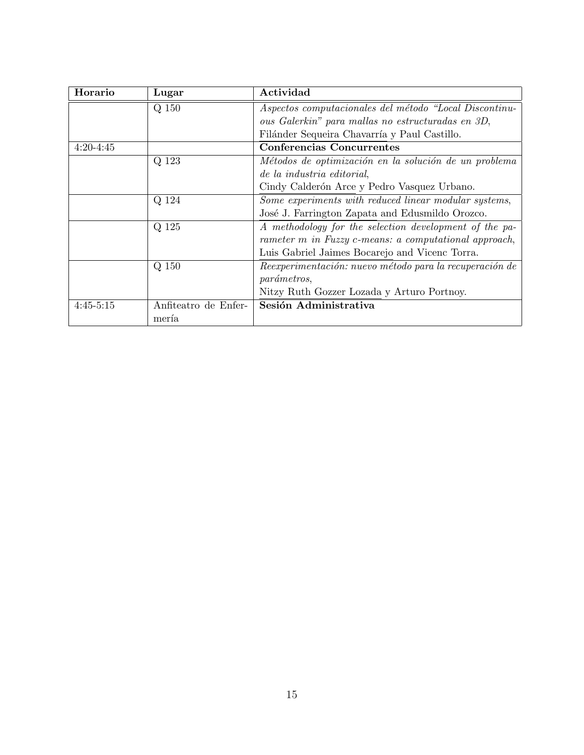| Horario     | Lugar                | Actividad                                               |
|-------------|----------------------|---------------------------------------------------------|
|             | Q 150                | Aspectos computacionales del método "Local Discontinu-  |
|             |                      | ous Galerkin" para mallas no estructuradas en 3D,       |
|             |                      | Filánder Sequeira Chavarría y Paul Castillo.            |
| $4:20-4:45$ |                      | Conferencias Concurrentes                               |
|             | Q 123                | Métodos de optimización en la solución de un problema   |
|             |                      | de la industria editorial,                              |
|             |                      | Cindy Calderón Arce y Pedro Vasquez Urbano.             |
|             | Q 124                | Some experiments with reduced linear modular systems,   |
|             |                      | José J. Farrington Zapata and Edusmildo Orozco.         |
|             | Q 125                | A methodology for the selection development of the pa-  |
|             |                      | rameter m in Fuzzy c-means: a computational approach,   |
|             |                      | Luis Gabriel Jaimes Bocarejo and Vicenc Torra.          |
|             | Q 150                | Reexperimentación: nuevo método para la recuperación de |
|             |                      | <i>parámetros,</i>                                      |
|             |                      | Nitzy Ruth Gozzer Lozada y Arturo Portnoy.              |
| $4:45-5:15$ | Anfiteatro de Enfer- | Sesión Administrativa                                   |
|             | mería                |                                                         |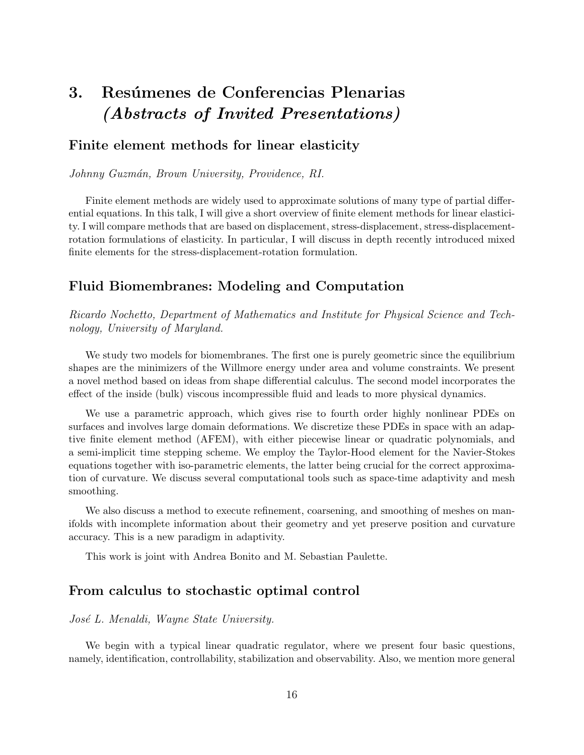# 3. Resúmenes de Conferencias Plenarias (Abstracts of Invited Presentations)

## Finite element methods for linear elasticity

Johnny Guzmán, Brown University, Providence, RI.

Finite element methods are widely used to approximate solutions of many type of partial differential equations. In this talk, I will give a short overview of finite element methods for linear elasticity. I will compare methods that are based on displacement, stress-displacement, stress-displacementrotation formulations of elasticity. In particular, I will discuss in depth recently introduced mixed finite elements for the stress-displacement-rotation formulation.

## Fluid Biomembranes: Modeling and Computation

Ricardo Nochetto, Department of Mathematics and Institute for Physical Science and Technology, University of Maryland.

We study two models for biomembranes. The first one is purely geometric since the equilibrium shapes are the minimizers of the Willmore energy under area and volume constraints. We present a novel method based on ideas from shape differential calculus. The second model incorporates the effect of the inside (bulk) viscous incompressible fluid and leads to more physical dynamics.

We use a parametric approach, which gives rise to fourth order highly nonlinear PDEs on surfaces and involves large domain deformations. We discretize these PDEs in space with an adaptive finite element method (AFEM), with either piecewise linear or quadratic polynomials, and a semi-implicit time stepping scheme. We employ the Taylor-Hood element for the Navier-Stokes equations together with iso-parametric elements, the latter being crucial for the correct approximation of curvature. We discuss several computational tools such as space-time adaptivity and mesh smoothing.

We also discuss a method to execute refinement, coarsening, and smoothing of meshes on manifolds with incomplete information about their geometry and yet preserve position and curvature accuracy. This is a new paradigm in adaptivity.

This work is joint with Andrea Bonito and M. Sebastian Paulette.

#### From calculus to stochastic optimal control

#### José L. Menaldi, Wayne State University.

We begin with a typical linear quadratic regulator, where we present four basic questions, namely, identification, controllability, stabilization and observability. Also, we mention more general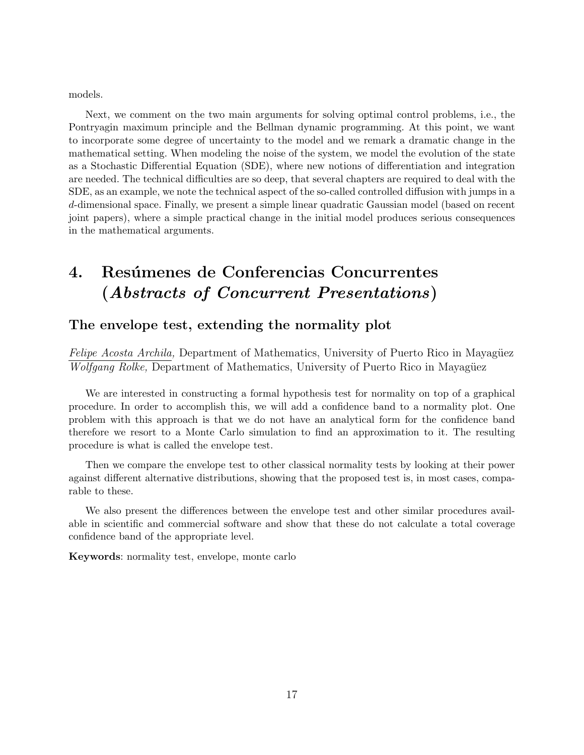models.

Next, we comment on the two main arguments for solving optimal control problems, i.e., the Pontryagin maximum principle and the Bellman dynamic programming. At this point, we want to incorporate some degree of uncertainty to the model and we remark a dramatic change in the mathematical setting. When modeling the noise of the system, we model the evolution of the state as a Stochastic Differential Equation (SDE), where new notions of differentiation and integration are needed. The technical difficulties are so deep, that several chapters are required to deal with the SDE, as an example, we note the technical aspect of the so-called controlled diffusion with jumps in a d-dimensional space. Finally, we present a simple linear quadratic Gaussian model (based on recent joint papers), where a simple practical change in the initial model produces serious consequences in the mathematical arguments.

# 4. Resúmenes de Conferencias Concurrentes (Abstracts of Concurrent Presentations)

### The envelope test, extending the normality plot

Felipe Acosta Archila, Department of Mathematics, University of Puerto Rico in Mayagüez Wolfgang Rolke, Department of Mathematics, University of Puerto Rico in Mayagüez

We are interested in constructing a formal hypothesis test for normality on top of a graphical procedure. In order to accomplish this, we will add a confidence band to a normality plot. One problem with this approach is that we do not have an analytical form for the confidence band therefore we resort to a Monte Carlo simulation to find an approximation to it. The resulting procedure is what is called the envelope test.

Then we compare the envelope test to other classical normality tests by looking at their power against different alternative distributions, showing that the proposed test is, in most cases, comparable to these.

We also present the differences between the envelope test and other similar procedures available in scientific and commercial software and show that these do not calculate a total coverage confidence band of the appropriate level.

Keywords: normality test, envelope, monte carlo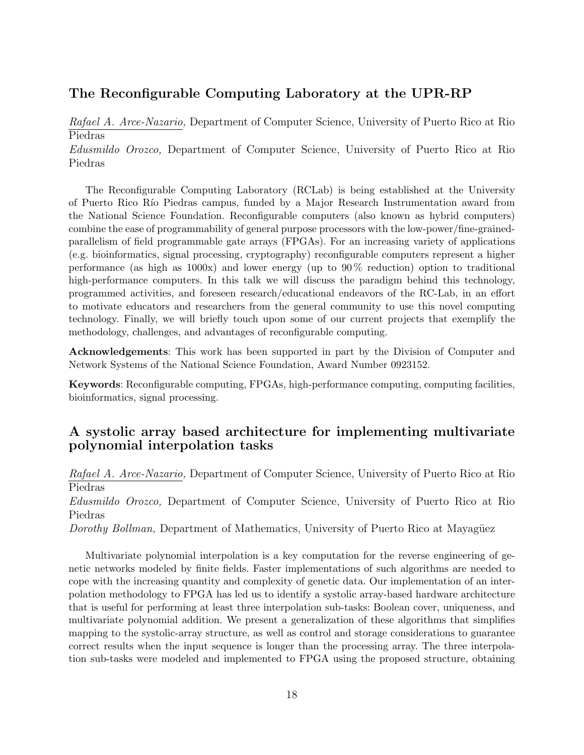# The Reconfigurable Computing Laboratory at the UPR-RP

Rafael A. Arce-Nazario, Department of Computer Science, University of Puerto Rico at Rio Piedras Edusmildo Orozco, Department of Computer Science, University of Puerto Rico at Rio Piedras

The Reconfigurable Computing Laboratory (RCLab) is being established at the University of Puerto Rico R´ıo Piedras campus, funded by a Major Research Instrumentation award from the National Science Foundation. Reconfigurable computers (also known as hybrid computers) combine the ease of programmability of general purpose processors with the low-power/fine-grainedparallelism of field programmable gate arrays (FPGAs). For an increasing variety of applications (e.g. bioinformatics, signal processing, cryptography) reconfigurable computers represent a higher performance (as high as  $1000x$ ) and lower energy (up to  $90\%$  reduction) option to traditional high-performance computers. In this talk we will discuss the paradigm behind this technology, programmed activities, and foreseen research/educational endeavors of the RC-Lab, in an effort to motivate educators and researchers from the general community to use this novel computing technology. Finally, we will briefly touch upon some of our current projects that exemplify the methodology, challenges, and advantages of reconfigurable computing.

Acknowledgements: This work has been supported in part by the Division of Computer and Network Systems of the National Science Foundation, Award Number 0923152.

Keywords: Reconfigurable computing, FPGAs, high-performance computing, computing facilities, bioinformatics, signal processing.

# A systolic array based architecture for implementing multivariate polynomial interpolation tasks

Rafael A. Arce-Nazario, Department of Computer Science, University of Puerto Rico at Rio Piedras

Edusmildo Orozco, Department of Computer Science, University of Puerto Rico at Rio Piedras

Dorothy Bollman, Department of Mathematics, University of Puerto Rico at Mayagüez

Multivariate polynomial interpolation is a key computation for the reverse engineering of genetic networks modeled by finite fields. Faster implementations of such algorithms are needed to cope with the increasing quantity and complexity of genetic data. Our implementation of an interpolation methodology to FPGA has led us to identify a systolic array-based hardware architecture that is useful for performing at least three interpolation sub-tasks: Boolean cover, uniqueness, and multivariate polynomial addition. We present a generalization of these algorithms that simplifies mapping to the systolic-array structure, as well as control and storage considerations to guarantee correct results when the input sequence is longer than the processing array. The three interpolation sub-tasks were modeled and implemented to FPGA using the proposed structure, obtaining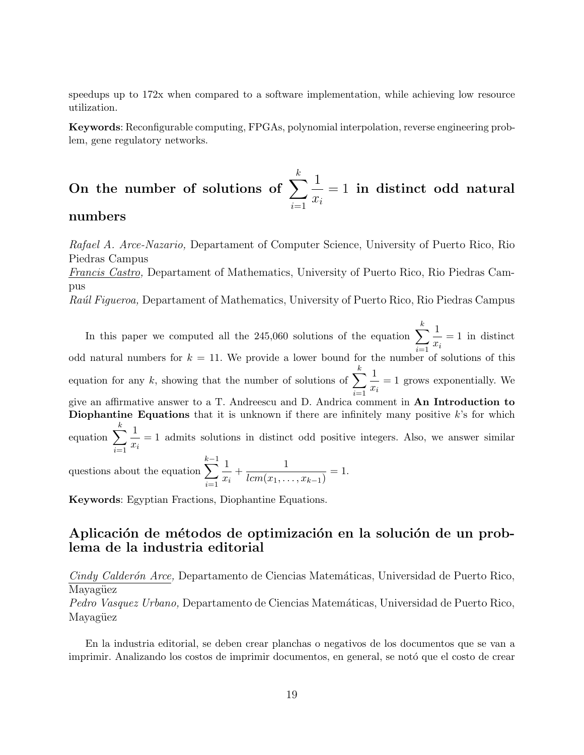speedups up to 172x when compared to a software implementation, while achieving low resource utilization.

Keywords: Reconfigurable computing, FPGAs, polynomial interpolation, reverse engineering problem, gene regulatory networks.

#### On the number of solutions of  $\sum_{k=1}^{k}$  $i=1$ 1  $\hat{x_i}$  $= 1$  in distinct odd natural numbers

# Rafael A. Arce-Nazario, Departament of Computer Science, University of Puerto Rico, Rio Piedras Campus Francis Castro, Departament of Mathematics, University of Puerto Rico, Rio Piedras Campus Raúl Figueroa, Departament of Mathematics, University of Puerto Rico, Rio Piedras Campus

In this paper we computed all the 245,060 solutions of the equation  $\sum_{n=1}^{k} \frac{1}{n}$ odd natural numbers for  $k = 11$ . We provide a lower bound for the number of solutions of this  $\frac{1}{x_i} = 1$  in distinct equation for any k, showing that the number of solutions of  $\sum_{k=1}^{k}$  $\frac{i=1}{i}$ 1  $\frac{1}{x_i} = 1$  grows exponentially. We give an affirmative answer to a T. Andreescu and D. Andrica comment in An Introduction to Diophantine Equations that it is unknown if there are infinitely many positive  $k$ 's for which equation  $\sum_{k=1}^{k}$  $i=1$ 1  $\frac{1}{x_i} = 1$  admits solutions in distinct odd positive integers. Also, we answer similar questions about the equation  $\sum_{k=1}^{k-1}$  $i=1$ 1  $\frac{1}{x_i} + \frac{1}{lcm(x_1,...)}$  $\frac{1}{lcm(x_1,\ldots,x_{k-1})}=1.$ 

Keywords: Egyptian Fractions, Diophantine Equations.

# Aplicación de métodos de optimización en la solución de un problema de la industria editorial

Cindy Calderón Arce, Departamento de Ciencias Matemáticas, Universidad de Puerto Rico, Mayagüez

Pedro Vasquez Urbano, Departamento de Ciencias Matemáticas, Universidad de Puerto Rico, Mayagüez

En la industria editorial, se deben crear planchas o negativos de los documentos que se van a imprimir. Analizando los costos de imprimir documentos, en general, se notó que el costo de crear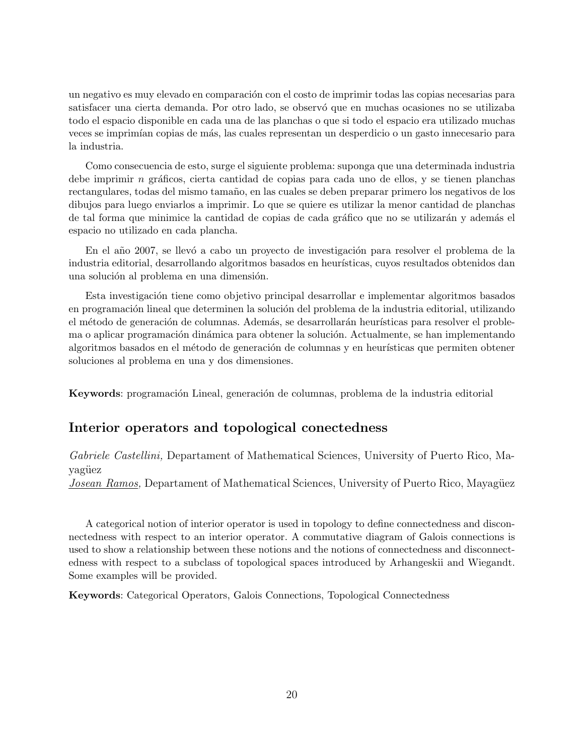un negativo es muy elevado en comparación con el costo de imprimir todas las copias necesarias para satisfacer una cierta demanda. Por otro lado, se observó que en muchas ocasiones no se utilizaba todo el espacio disponible en cada una de las planchas o que si todo el espacio era utilizado muchas veces se imprimían copias de más, las cuales representan un desperdicio o un gasto innecesario para la industria.

Como consecuencia de esto, surge el siguiente problema: suponga que una determinada industria debe imprimir n gráficos, cierta cantidad de copias para cada uno de ellos, y se tienen planchas rectangulares, todas del mismo tamaño, en las cuales se deben preparar primero los negativos de los dibujos para luego enviarlos a imprimir. Lo que se quiere es utilizar la menor cantidad de planchas de tal forma que minimice la cantidad de copias de cada gráfico que no se utilizarán y además el espacio no utilizado en cada plancha.

En el año 2007, se llevó a cabo un proyecto de investigación para resolver el problema de la industria editorial, desarrollando algoritmos basados en heurísticas, cuyos resultados obtenidos dan una solución al problema en una dimensión.

Esta investigación tiene como objetivo principal desarrollar e implementar algoritmos basados en programación lineal que determinen la solución del problema de la industria editorial, utilizando el método de generación de columnas. Además, se desarrollarán heurísticas para resolver el problema o aplicar programación dinámica para obtener la solución. Actualmente, se han implementando algoritmos basados en el método de generación de columnas y en heurísticas que permiten obtener soluciones al problema en una y dos dimensiones.

Keywords: programación Lineal, generación de columnas, problema de la industria editorial

### Interior operators and topological conectedness

Gabriele Castellini, Departament of Mathematical Sciences, University of Puerto Rico, Mayagüez Josean Ramos, Departament of Mathematical Sciences, University of Puerto Rico, Mayagüez

A categorical notion of interior operator is used in topology to define connectedness and disconnectedness with respect to an interior operator. A commutative diagram of Galois connections is used to show a relationship between these notions and the notions of connectedness and disconnectedness with respect to a subclass of topological spaces introduced by Arhangeskii and Wiegandt. Some examples will be provided.

Keywords: Categorical Operators, Galois Connections, Topological Connectedness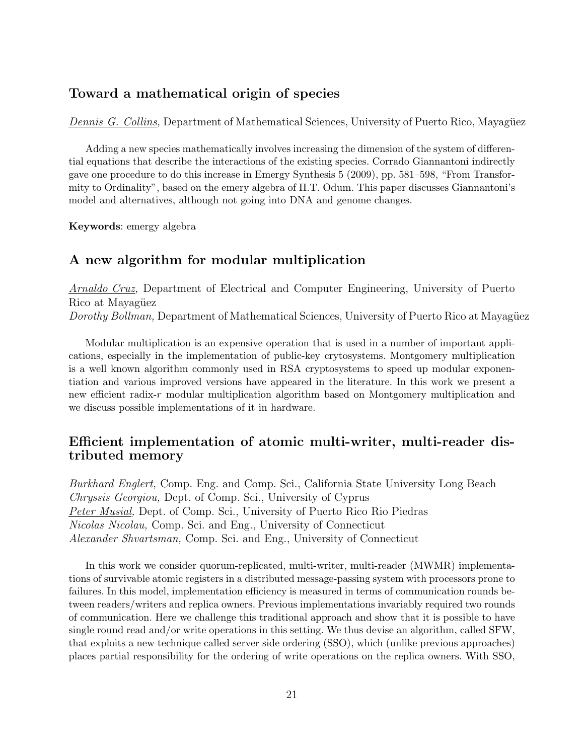# Toward a mathematical origin of species

Dennis G. Collins, Department of Mathematical Sciences, University of Puerto Rico, Mayagüez

Adding a new species mathematically involves increasing the dimension of the system of differential equations that describe the interactions of the existing species. Corrado Giannantoni indirectly gave one procedure to do this increase in Emergy Synthesis 5 (2009), pp. 581–598, "From Transformity to Ordinality", based on the emery algebra of H.T. Odum. This paper discusses Giannantoni's model and alternatives, although not going into DNA and genome changes.

Keywords: emergy algebra

# A new algorithm for modular multiplication

Arnaldo Cruz, Department of Electrical and Computer Engineering, University of Puerto Rico at Mayagüez Dorothy Bollman, Department of Mathematical Sciences, University of Puerto Rico at Mayagüez

Modular multiplication is an expensive operation that is used in a number of important applications, especially in the implementation of public-key crytosystems. Montgomery multiplication is a well known algorithm commonly used in RSA cryptosystems to speed up modular exponentiation and various improved versions have appeared in the literature. In this work we present a new efficient radix-r modular multiplication algorithm based on Montgomery multiplication and we discuss possible implementations of it in hardware.

# Efficient implementation of atomic multi-writer, multi-reader distributed memory

Burkhard Englert, Comp. Eng. and Comp. Sci., California State University Long Beach Chryssis Georgiou, Dept. of Comp. Sci., University of Cyprus Peter Musial, Dept. of Comp. Sci., University of Puerto Rico Rio Piedras Nicolas Nicolau, Comp. Sci. and Eng., University of Connecticut Alexander Shvartsman, Comp. Sci. and Eng., University of Connecticut

In this work we consider quorum-replicated, multi-writer, multi-reader (MWMR) implementations of survivable atomic registers in a distributed message-passing system with processors prone to failures. In this model, implementation efficiency is measured in terms of communication rounds between readers/writers and replica owners. Previous implementations invariably required two rounds of communication. Here we challenge this traditional approach and show that it is possible to have single round read and/or write operations in this setting. We thus devise an algorithm, called SFW, that exploits a new technique called server side ordering (SSO), which (unlike previous approaches) places partial responsibility for the ordering of write operations on the replica owners. With SSO,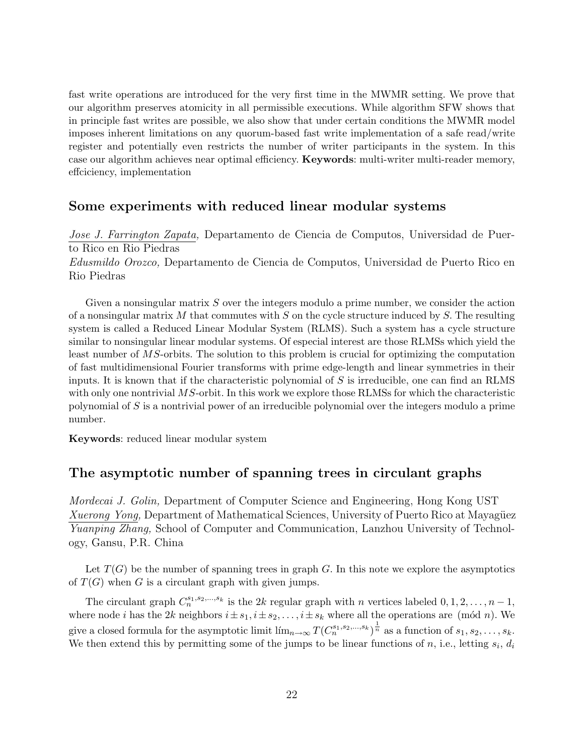fast write operations are introduced for the very first time in the MWMR setting. We prove that our algorithm preserves atomicity in all permissible executions. While algorithm SFW shows that in principle fast writes are possible, we also show that under certain conditions the MWMR model imposes inherent limitations on any quorum-based fast write implementation of a safe read/write register and potentially even restricts the number of writer participants in the system. In this case our algorithm achieves near optimal efficiency. Keywords: multi-writer multi-reader memory, effciciency, implementation

## Some experiments with reduced linear modular systems

Jose J. Farrington Zapata, Departamento de Ciencia de Computos, Universidad de Puerto Rico en Rio Piedras Edusmildo Orozco, Departamento de Ciencia de Computos, Universidad de Puerto Rico en Rio Piedras

Given a nonsingular matrix  $S$  over the integers modulo a prime number, we consider the action of a nonsingular matrix  $M$  that commutes with  $S$  on the cycle structure induced by  $S$ . The resulting system is called a Reduced Linear Modular System (RLMS). Such a system has a cycle structure similar to nonsingular linear modular systems. Of especial interest are those RLMSs which yield the least number of MS-orbits. The solution to this problem is crucial for optimizing the computation of fast multidimensional Fourier transforms with prime edge-length and linear symmetries in their inputs. It is known that if the characteristic polynomial of  $S$  is irreducible, one can find an RLMS with only one nontrivial MS-orbit. In this work we explore those RLMSs for which the characteristic polynomial of S is a nontrivial power of an irreducible polynomial over the integers modulo a prime number.

Keywords: reduced linear modular system

### The asymptotic number of spanning trees in circulant graphs

Mordecai J. Golin, Department of Computer Science and Engineering, Hong Kong UST Xuerong Yong, Department of Mathematical Sciences, University of Puerto Rico at Mayagüez Yuanping Zhang, School of Computer and Communication, Lanzhou University of Technology, Gansu, P.R. China

Let  $T(G)$  be the number of spanning trees in graph G. In this note we explore the asymptotics of  $T(G)$  when G is a circulant graph with given jumps.

The circulant graph  $C_n^{s_1,s_2,...,s_k}$  is the 2k regular graph with n vertices labeled  $0, 1, 2, ..., n-1$ , where node *i* has the 2k neighbors  $i \pm s_1$ ,  $i \pm s_2$ , ...,  $i \pm s_k$  where all the operations are (mod *n*). We give a closed formula for the asymptotic limit  $\lim_{n\to\infty} T(C_n^{s_1,s_2,\dots,s_k})^{\frac{1}{n}}$  as a function of  $s_1, s_2, \dots, s_k$ . We then extend this by permitting some of the jumps to be linear functions of n, i.e., letting  $s_i$ ,  $d_i$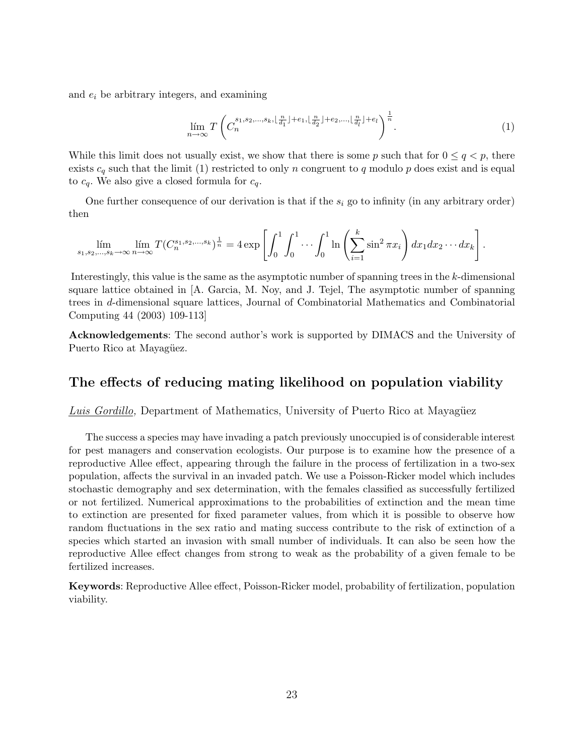and  $e_i$  be arbitrary integers, and examining

$$
\lim_{n\to\infty} T\left(C_n^{s_1,s_2,\ldots,s_k,\lfloor\frac{n}{d_1}\rfloor+e_1,\lfloor\frac{n}{d_2}\rfloor+e_2,\ldots,\lfloor\frac{n}{d_l}\rfloor+e_l}\right)^{\frac{1}{n}}.\tag{1}
$$

While this limit does not usually exist, we show that there is some p such that for  $0 \le q < p$ , there exists  $c_q$  such that the limit (1) restricted to only n congruent to q modulo p does exist and is equal to  $c_q$ . We also give a closed formula for  $c_q$ .

One further consequence of our derivation is that if the  $s_i$  go to infinity (in any arbitrary order) then

$$
\lim_{s_1, s_2, ..., s_k \to \infty} \lim_{n \to \infty} T(C_n^{s_1, s_2, ..., s_k})^{\frac{1}{n}} = 4 \exp \left[ \int_0^1 \int_0^1 \cdots \int_0^1 \ln \left( \sum_{i=1}^k \sin^2 \pi x_i \right) dx_1 dx_2 \cdots dx_k \right].
$$

Interestingly, this value is the same as the asymptotic number of spanning trees in the k-dimensional square lattice obtained in [A. Garcia, M. Noy, and J. Tejel, The asymptotic number of spanning trees in d-dimensional square lattices, Journal of Combinatorial Mathematics and Combinatorial Computing 44 (2003) 109-113]

Acknowledgements: The second author's work is supported by DIMACS and the University of Puerto Rico at Mayagüez.

### The effects of reducing mating likelihood on population viability

Luis Gordillo, Department of Mathematics, University of Puerto Rico at Mayagüez

The success a species may have invading a patch previously unoccupied is of considerable interest for pest managers and conservation ecologists. Our purpose is to examine how the presence of a reproductive Allee effect, appearing through the failure in the process of fertilization in a two-sex population, affects the survival in an invaded patch. We use a Poisson-Ricker model which includes stochastic demography and sex determination, with the females classified as successfully fertilized or not fertilized. Numerical approximations to the probabilities of extinction and the mean time to extinction are presented for fixed parameter values, from which it is possible to observe how random fluctuations in the sex ratio and mating success contribute to the risk of extinction of a species which started an invasion with small number of individuals. It can also be seen how the reproductive Allee effect changes from strong to weak as the probability of a given female to be fertilized increases.

Keywords: Reproductive Allee effect, Poisson-Ricker model, probability of fertilization, population viability.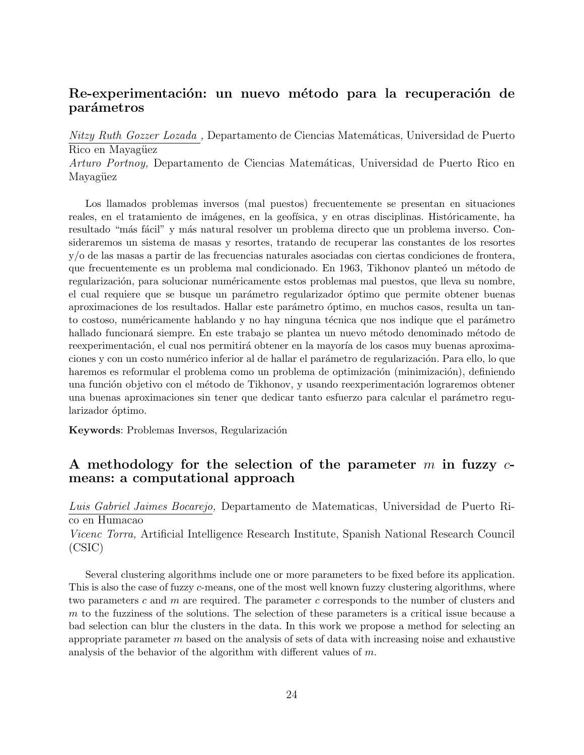# Re-experimentación: un nuevo método para la recuperación de parámetros

Nitzy Ruth Gozzer Lozada, Departamento de Ciencias Matemáticas, Universidad de Puerto Rico en Mayagüez

Arturo Portnoy, Departamento de Ciencias Matemáticas, Universidad de Puerto Rico en Mayagüez

Los llamados problemas inversos (mal puestos) frecuentemente se presentan en situaciones reales, en el tratamiento de imágenes, en la geofísica, y en otras disciplinas. Históricamente, ha resultado "más fácil" y más natural resolver un problema directo que un problema inverso. Consideraremos un sistema de masas y resortes, tratando de recuperar las constantes de los resortes y/o de las masas a partir de las frecuencias naturales asociadas con ciertas condiciones de frontera, que frecuentemente es un problema mal condicionado. En 1963, Tikhonov planteó un método de regularización, para solucionar numéricamente estos problemas mal puestos, que lleva su nombre, el cual requiere que se busque un parámetro regularizador óptimo que permite obtener buenas aproximaciones de los resultados. Hallar este parámetro óptimo, en muchos casos, resulta un tanto costoso, numéricamente hablando y no hay ninguna técnica que nos indique que el parámetro hallado funcionará siempre. En este trabajo se plantea un nuevo método denominado método de reexperimentación, el cual nos permitirá obtener en la mayoría de los casos muy buenas aproximaciones y con un costo numérico inferior al de hallar el parámetro de regularización. Para ello, lo que haremos es reformular el problema como un problema de optimización (minimización), definiendo una función objetivo con el método de Tikhonov, y usando reexperimentación lograremos obtener una buenas aproximaciones sin tener que dedicar tanto esfuerzo para calcular el parámetro regularizador óptimo.

Keywords: Problemas Inversos, Regularización

# A methodology for the selection of the parameter m in fuzzy  $c$ means: a computational approach

Luis Gabriel Jaimes Bocarejo, Departamento de Matematicas, Universidad de Puerto Rico en Humacao

Vicenc Torra, Artificial Intelligence Research Institute, Spanish National Research Council (CSIC)

Several clustering algorithms include one or more parameters to be fixed before its application. This is also the case of fuzzy c-means, one of the most well known fuzzy clustering algorithms, where two parameters c and m are required. The parameter c corresponds to the number of clusters and m to the fuzziness of the solutions. The selection of these parameters is a critical issue because a bad selection can blur the clusters in the data. In this work we propose a method for selecting an appropriate parameter  $m$  based on the analysis of sets of data with increasing noise and exhaustive analysis of the behavior of the algorithm with different values of  $m$ .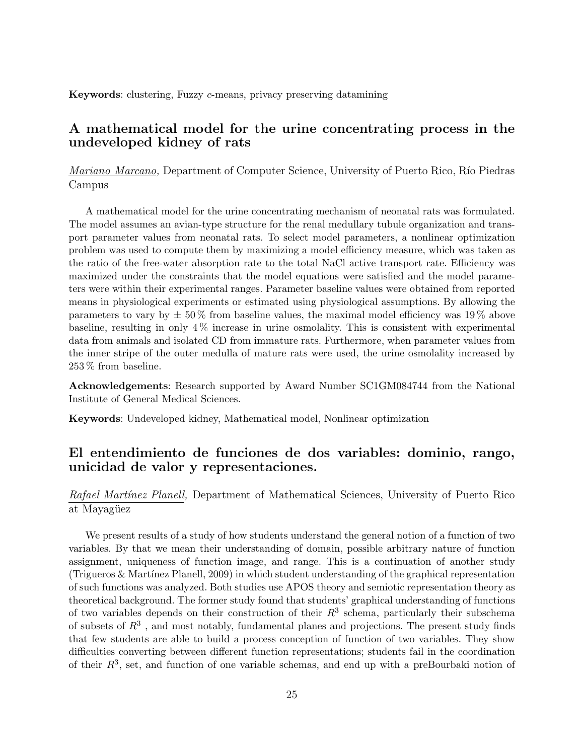Keywords: clustering, Fuzzy c-means, privacy preserving datamining

# A mathematical model for the urine concentrating process in the undeveloped kidney of rats

Mariano Marcano, Department of Computer Science, University of Puerto Rico, Río Piedras Campus

A mathematical model for the urine concentrating mechanism of neonatal rats was formulated. The model assumes an avian-type structure for the renal medullary tubule organization and transport parameter values from neonatal rats. To select model parameters, a nonlinear optimization problem was used to compute them by maximizing a model efficiency measure, which was taken as the ratio of the free-water absorption rate to the total NaCl active transport rate. Efficiency was maximized under the constraints that the model equations were satisfied and the model parameters were within their experimental ranges. Parameter baseline values were obtained from reported means in physiological experiments or estimated using physiological assumptions. By allowing the parameters to vary by  $\pm 50\%$  from baseline values, the maximal model efficiency was 19% above baseline, resulting in only 4 % increase in urine osmolality. This is consistent with experimental data from animals and isolated CD from immature rats. Furthermore, when parameter values from the inner stripe of the outer medulla of mature rats were used, the urine osmolality increased by 253 % from baseline.

Acknowledgements: Research supported by Award Number SC1GM084744 from the National Institute of General Medical Sciences.

Keywords: Undeveloped kidney, Mathematical model, Nonlinear optimization

# El entendimiento de funciones de dos variables: dominio, rango, unicidad de valor y representaciones.

Rafael Martínez Planell, Department of Mathematical Sciences, University of Puerto Rico at Mayagüez

We present results of a study of how students understand the general notion of a function of two variables. By that we mean their understanding of domain, possible arbitrary nature of function assignment, uniqueness of function image, and range. This is a continuation of another study  $(T_{\text{rigueros}} \& \text{Martínez Planell}, 2009)$  in which student understanding of the graphical representation of such functions was analyzed. Both studies use APOS theory and semiotic representation theory as theoretical background. The former study found that students' graphical understanding of functions of two variables depends on their construction of their  $R^3$  schema, particularly their subschema of subsets of  $R<sup>3</sup>$ , and most notably, fundamental planes and projections. The present study finds that few students are able to build a process conception of function of two variables. They show difficulties converting between different function representations; students fail in the coordination of their  $R^3$ , set, and function of one variable schemas, and end up with a preBourbaki notion of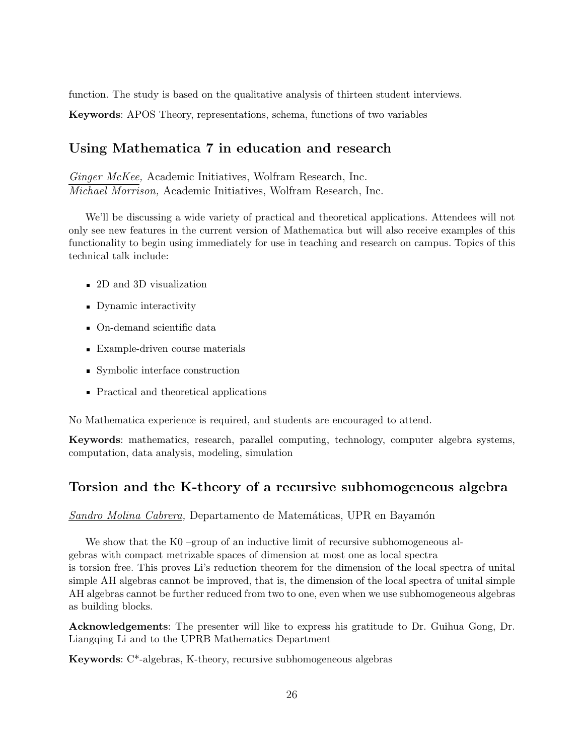function. The study is based on the qualitative analysis of thirteen student interviews.

Keywords: APOS Theory, representations, schema, functions of two variables

# Using Mathematica 7 in education and research

Ginger McKee, Academic Initiatives, Wolfram Research, Inc. Michael Morrison, Academic Initiatives, Wolfram Research, Inc.

We'll be discussing a wide variety of practical and theoretical applications. Attendees will not only see new features in the current version of Mathematica but will also receive examples of this functionality to begin using immediately for use in teaching and research on campus. Topics of this technical talk include:

- 2D and 3D visualization
- Dynamic interactivity
- On-demand scientific data
- Example-driven course materials
- Symbolic interface construction
- Practical and theoretical applications

No Mathematica experience is required, and students are encouraged to attend.

Keywords: mathematics, research, parallel computing, technology, computer algebra systems, computation, data analysis, modeling, simulation

# Torsion and the K-theory of a recursive subhomogeneous algebra

Sandro Molina Cabrera, Departamento de Matemáticas, UPR en Bayamón

We show that the K0 –group of an inductive limit of recursive subhomogeneous algebras with compact metrizable spaces of dimension at most one as local spectra is torsion free. This proves Li's reduction theorem for the dimension of the local spectra of unital simple AH algebras cannot be improved, that is, the dimension of the local spectra of unital simple AH algebras cannot be further reduced from two to one, even when we use subhomogeneous algebras as building blocks.

Acknowledgements: The presenter will like to express his gratitude to Dr. Guihua Gong, Dr. Liangqing Li and to the UPRB Mathematics Department

Keywords: C\*-algebras, K-theory, recursive subhomogeneous algebras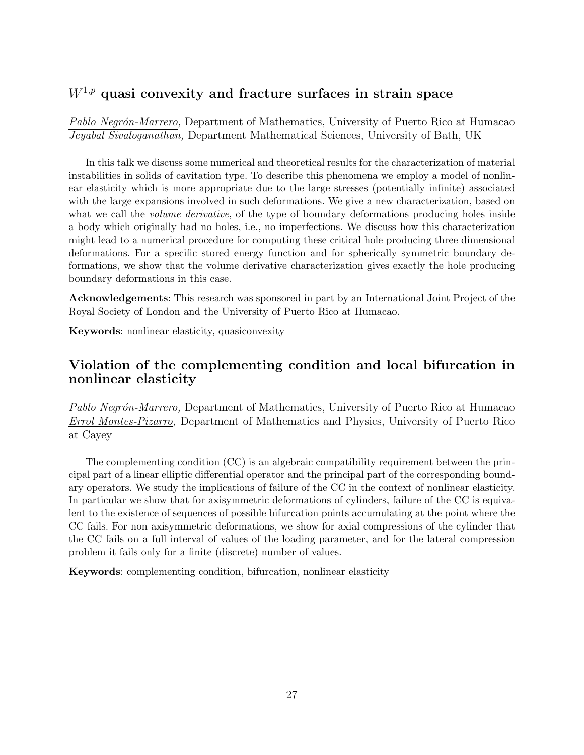# $W^{1,p}$  quasi convexity and fracture surfaces in strain space

Pablo Negrón-Marrero, Department of Mathematics, University of Puerto Rico at Humacao Jeyabal Sivaloganathan, Department Mathematical Sciences, University of Bath, UK

In this talk we discuss some numerical and theoretical results for the characterization of material instabilities in solids of cavitation type. To describe this phenomena we employ a model of nonlinear elasticity which is more appropriate due to the large stresses (potentially infinite) associated with the large expansions involved in such deformations. We give a new characterization, based on what we call the *volume derivative*, of the type of boundary deformations producing holes inside a body which originally had no holes, i.e., no imperfections. We discuss how this characterization might lead to a numerical procedure for computing these critical hole producing three dimensional deformations. For a specific stored energy function and for spherically symmetric boundary deformations, we show that the volume derivative characterization gives exactly the hole producing boundary deformations in this case.

Acknowledgements: This research was sponsored in part by an International Joint Project of the Royal Society of London and the University of Puerto Rico at Humacao.

Keywords: nonlinear elasticity, quasiconvexity

# Violation of the complementing condition and local bifurcation in nonlinear elasticity

Pablo Negrón-Marrero, Department of Mathematics, University of Puerto Rico at Humacao Errol Montes-Pizarro, Department of Mathematics and Physics, University of Puerto Rico at Cayey

The complementing condition (CC) is an algebraic compatibility requirement between the principal part of a linear elliptic differential operator and the principal part of the corresponding boundary operators. We study the implications of failure of the CC in the context of nonlinear elasticity. In particular we show that for axisymmetric deformations of cylinders, failure of the CC is equivalent to the existence of sequences of possible bifurcation points accumulating at the point where the CC fails. For non axisymmetric deformations, we show for axial compressions of the cylinder that the CC fails on a full interval of values of the loading parameter, and for the lateral compression problem it fails only for a finite (discrete) number of values.

Keywords: complementing condition, bifurcation, nonlinear elasticity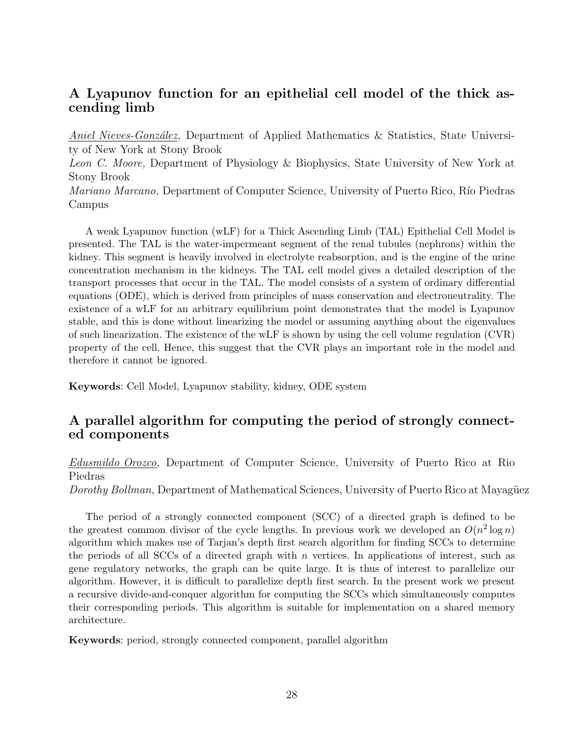# A Lyapunov function for an epithelial cell model of the thick ascending limb

Aniel Nieves-González, Department of Applied Mathematics & Statistics, State University of New York at Stony Brook

Leon C. Moore, Department of Physiology & Biophysics, State University of New York at Stony Brook

*Mariano Marcano*, Department of Computer Science, University of Puerto Rico, Río Piedras Campus

A weak Lyapunov function (wLF) for a Thick Ascending Limb (TAL) Epithelial Cell Model is presented. The TAL is the water-impermeant segment of the renal tubules (nephrons) within the kidney. This segment is heavily involved in electrolyte reabsorption, and is the engine of the urine concentration mechanism in the kidneys. The TAL cell model gives a detailed description of the transport processes that occur in the TAL. The model consists of a system of ordinary differential equations (ODE), which is derived from principles of mass conservation and electroneutrality. The existence of a wLF for an arbitrary equilibrium point demonstrates that the model is Lyapunov stable, and this is done without linearizing the model or assuming anything about the eigenvalues of such linearization. The existence of the wLF is shown by using the cell volume regulation (CVR) property of the cell. Hence, this suggest that the CVR plays an important role in the model and therefore it cannot be ignored.

Keywords: Cell Model, Lyapunov stability, kidney, ODE system

# A parallel algorithm for computing the period of strongly connected components

Edusmildo Orozco, Department of Computer Science, University of Puerto Rico at Rio Piedras

Dorothy Bollman, Department of Mathematical Sciences, University of Puerto Rico at Mayagüez

The period of a strongly connected component (SCC) of a directed graph is defined to be the greatest common divisor of the cycle lengths. In previous work we developed an  $O(n^2 \log n)$ algorithm which makes use of Tarjan's depth first search algorithm for finding SCCs to determine the periods of all SCCs of a directed graph with  $n$  vertices. In applications of interest, such as gene regulatory networks, the graph can be quite large. It is thus of interest to parallelize our algorithm. However, it is difficult to parallelize depth first search. In the present work we present a recursive divide-and-conquer algorithm for computing the SCCs which simultaneously computes their corresponding periods. This algorithm is suitable for implementation on a shared memory architecture.

Keywords: period, strongly connected component, parallel algorithm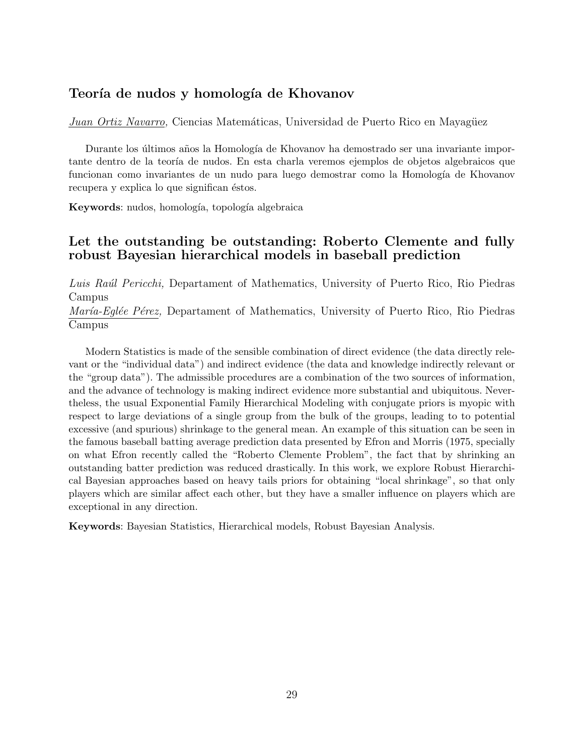# Teoría de nudos y homología de Khovanov

Juan Ortiz Navarro, Ciencias Matemáticas, Universidad de Puerto Rico en Mayagüez

Durante los últimos años la Homología de Khovanov ha demostrado ser una invariante importante dentro de la teoría de nudos. En esta charla veremos ejemplos de objetos algebraicos que funcionan como invariantes de un nudo para luego demostrar como la Homología de Khovanov recupera y explica lo que significan éstos.

Keywords: nudos, homología, topología algebraica

# Let the outstanding be outstanding: Roberto Clemente and fully robust Bayesian hierarchical models in baseball prediction

Luis Raúl Pericchi, Departament of Mathematics, University of Puerto Rico, Rio Piedras Campus

*María-Eglée Pérez*, Departament of Mathematics, University of Puerto Rico, Rio Piedras Campus

Modern Statistics is made of the sensible combination of direct evidence (the data directly relevant or the "individual data") and indirect evidence (the data and knowledge indirectly relevant or the "group data"). The admissible procedures are a combination of the two sources of information, and the advance of technology is making indirect evidence more substantial and ubiquitous. Nevertheless, the usual Exponential Family Hierarchical Modeling with conjugate priors is myopic with respect to large deviations of a single group from the bulk of the groups, leading to to potential excessive (and spurious) shrinkage to the general mean. An example of this situation can be seen in the famous baseball batting average prediction data presented by Efron and Morris (1975, specially on what Efron recently called the "Roberto Clemente Problem", the fact that by shrinking an outstanding batter prediction was reduced drastically. In this work, we explore Robust Hierarchical Bayesian approaches based on heavy tails priors for obtaining "local shrinkage", so that only players which are similar affect each other, but they have a smaller influence on players which are exceptional in any direction.

Keywords: Bayesian Statistics, Hierarchical models, Robust Bayesian Analysis.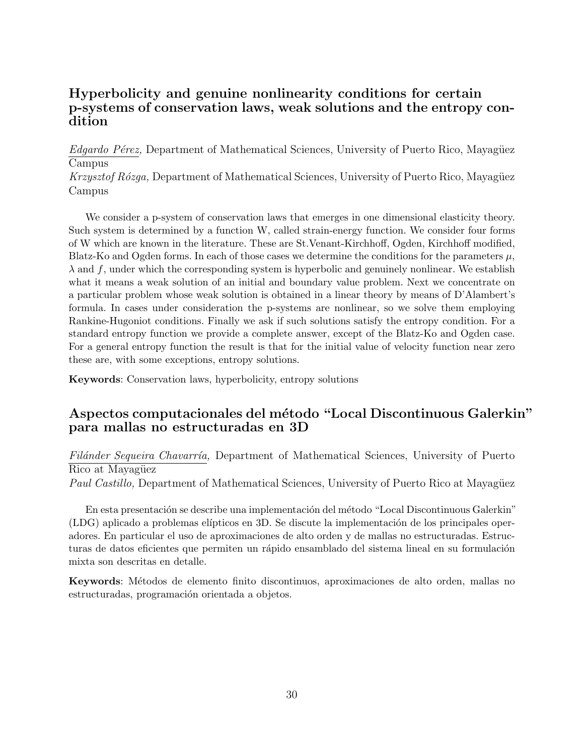# Hyperbolicity and genuine nonlinearity conditions for certain p-systems of conservation laws, weak solutions and the entropy condition

 $Edgardo Pérez$ , Department of Mathematical Sciences, University of Puerto Rico, Mayagüez Campus

Krzysztof Rózga, Department of Mathematical Sciences, University of Puerto Rico, Mayagüez Campus

We consider a p-system of conservation laws that emerges in one dimensional elasticity theory. Such system is determined by a function W, called strain-energy function. We consider four forms of W which are known in the literature. These are St.Venant-Kirchhoff, Ogden, Kirchhoff modified, Blatz-Ko and Ogden forms. In each of those cases we determine the conditions for the parameters  $\mu$ ,  $\lambda$  and f, under which the corresponding system is hyperbolic and genuinely nonlinear. We establish what it means a weak solution of an initial and boundary value problem. Next we concentrate on a particular problem whose weak solution is obtained in a linear theory by means of D'Alambert's formula. In cases under consideration the p-systems are nonlinear, so we solve them employing Rankine-Hugoniot conditions. Finally we ask if such solutions satisfy the entropy condition. For a standard entropy function we provide a complete answer, except of the Blatz-Ko and Ogden case. For a general entropy function the result is that for the initial value of velocity function near zero these are, with some exceptions, entropy solutions.

Keywords: Conservation laws, hyperbolicity, entropy solutions

# Aspectos computacionales del método "Local Discontinuous Galerkin" para mallas no estructuradas en 3D

Filánder Sequeira Chavarría, Department of Mathematical Sciences, University of Puerto Rico at Mayagüez

Paul Castillo, Department of Mathematical Sciences, University of Puerto Rico at Mayagüez

En esta presentación se describe una implementación del método "Local Discontinuous Galerkin"  $(LDG)$  aplicado a problemas elípticos en 3D. Se discute la implementación de los principales operadores. En particular el uso de aproximaciones de alto orden y de mallas no estructuradas. Estructuras de datos eficientes que permiten un rápido ensamblado del sistema lineal en su formulación mixta son descritas en detalle.

Keywords: M´etodos de elemento finito discontinuos, aproximaciones de alto orden, mallas no estructuradas, programación orientada a objetos.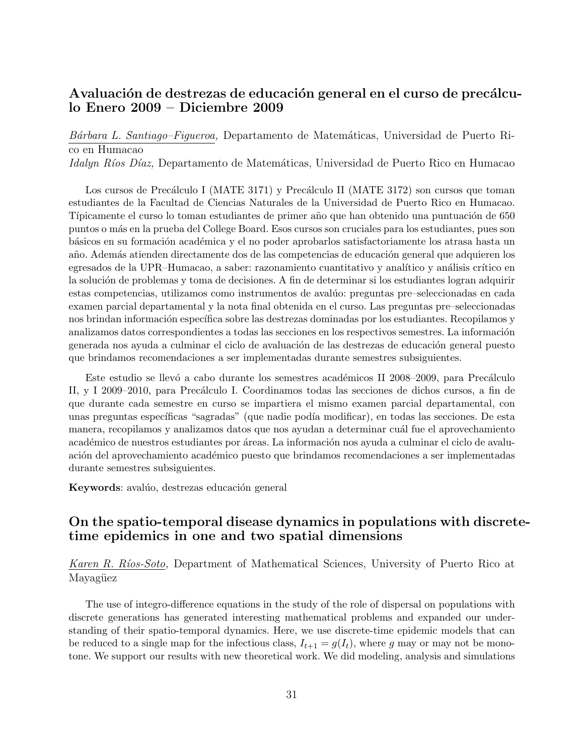# Avaluación de destrezas de educación general en el curso de precálculo Enero 2009 – Diciembre 2009

Bárbara L. Santiago–Figueroa, Departamento de Matemáticas, Universidad de Puerto Rico en Humacao

Idalyn Ríos Díaz, Departamento de Matemáticas, Universidad de Puerto Rico en Humacao

Los cursos de Precálculo I (MATE 3171) y Precálculo II (MATE 3172) son cursos que toman estudiantes de la Facultad de Ciencias Naturales de la Universidad de Puerto Rico en Humacao. Típicamente el curso lo toman estudiantes de primer año que han obtenido una puntuación de 650 puntos o m´as en la prueba del College Board. Esos cursos son cruciales para los estudiantes, pues son básicos en su formación académica y el no poder aprobarlos satisfactoriamente los atrasa hasta un año. Además atienden directamente dos de las competencias de educación general que adquieren los egresados de la UPR–Humacao, a saber: razonamiento cuantitativo y analítico y análisis crítico en la solución de problemas y toma de decisiones. A fin de determinar si los estudiantes logran adquirir estas competencias, utilizamos como instrumentos de avalúo: preguntas pre–seleccionadas en cada examen parcial departamental y la nota final obtenida en el curso. Las preguntas pre–seleccionadas nos brindan información específica sobre las destrezas dominadas por los estudiantes. Recopilamos y analizamos datos correspondientes a todas las secciones en los respectivos semestres. La información generada nos ayuda a culminar el ciclo de avaluación de las destrezas de educación general puesto que brindamos recomendaciones a ser implementadas durante semestres subsiguientes.

Este estudio se llevó a cabo durante los semestres académicos II 2008–2009, para Precálculo II, y I 2009–2010, para Precálculo I. Coordinamos todas las secciones de dichos cursos, a fin de que durante cada semestre en curso se impartiera el mismo examen parcial departamental, con unas preguntas específicas "sagradas" (que nadie podía modificar), en todas las secciones. De esta manera, recopilamos y analizamos datos que nos ayudan a determinar cuál fue el aprovechamiento académico de nuestros estudiantes por áreas. La información nos ayuda a culminar el ciclo de avaluación del aprovechamiento académico puesto que brindamos recomendaciones a ser implementadas durante semestres subsiguientes.

Keywords: avalúo, destrezas educación general

# On the spatio-temporal disease dynamics in populations with discretetime epidemics in one and two spatial dimensions

Karen R. Ríos-Soto, Department of Mathematical Sciences, University of Puerto Rico at Mayagüez

The use of integro-difference equations in the study of the role of dispersal on populations with discrete generations has generated interesting mathematical problems and expanded our understanding of their spatio-temporal dynamics. Here, we use discrete-time epidemic models that can be reduced to a single map for the infectious class,  $I_{t+1} = g(I_t)$ , where g may or may not be monotone. We support our results with new theoretical work. We did modeling, analysis and simulations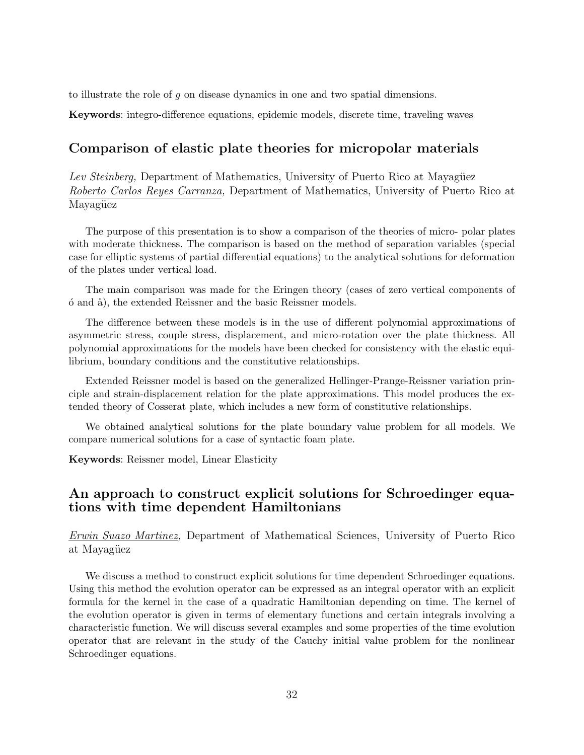to illustrate the role of g on disease dynamics in one and two spatial dimensions.

Keywords: integro-difference equations, epidemic models, discrete time, traveling waves

## Comparison of elastic plate theories for micropolar materials

Lev Steinberg, Department of Mathematics, University of Puerto Rico at Mayagüez Roberto Carlos Reyes Carranza, Department of Mathematics, University of Puerto Rico at Mayagüez

The purpose of this presentation is to show a comparison of the theories of micro- polar plates with moderate thickness. The comparison is based on the method of separation variables (special case for elliptic systems of partial differential equations) to the analytical solutions for deformation of the plates under vertical load.

The main comparison was made for the Eringen theory (cases of zero vertical components of  $\acute{o}$  and  $\acute{a}$ ), the extended Reissner and the basic Reissner models.

The difference between these models is in the use of different polynomial approximations of asymmetric stress, couple stress, displacement, and micro-rotation over the plate thickness. All polynomial approximations for the models have been checked for consistency with the elastic equilibrium, boundary conditions and the constitutive relationships.

Extended Reissner model is based on the generalized Hellinger-Prange-Reissner variation principle and strain-displacement relation for the plate approximations. This model produces the extended theory of Cosserat plate, which includes a new form of constitutive relationships.

We obtained analytical solutions for the plate boundary value problem for all models. We compare numerical solutions for a case of syntactic foam plate.

Keywords: Reissner model, Linear Elasticity

# An approach to construct explicit solutions for Schroedinger equations with time dependent Hamiltonians

Erwin Suazo Martinez, Department of Mathematical Sciences, University of Puerto Rico at Mayagüez

We discuss a method to construct explicit solutions for time dependent Schroedinger equations. Using this method the evolution operator can be expressed as an integral operator with an explicit formula for the kernel in the case of a quadratic Hamiltonian depending on time. The kernel of the evolution operator is given in terms of elementary functions and certain integrals involving a characteristic function. We will discuss several examples and some properties of the time evolution operator that are relevant in the study of the Cauchy initial value problem for the nonlinear Schroedinger equations.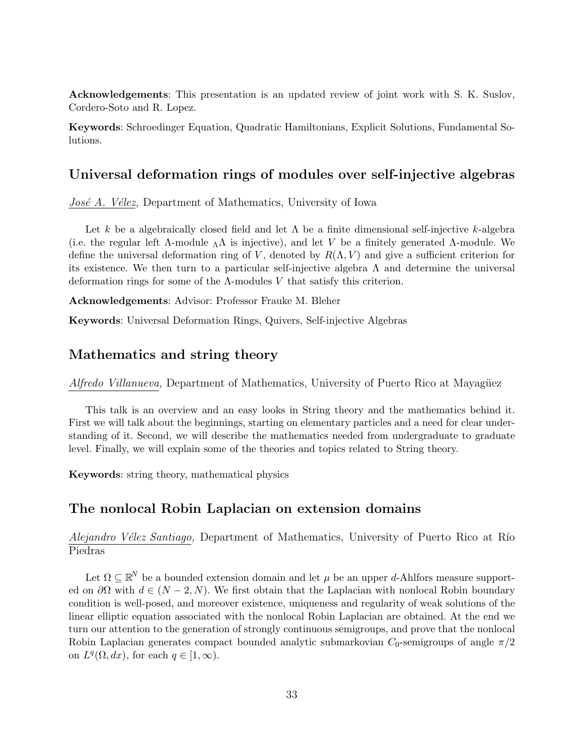Acknowledgements: This presentation is an updated review of joint work with S. K. Suslov, Cordero-Soto and R. Lopez.

Keywords: Schroedinger Equation, Quadratic Hamiltonians, Explicit Solutions, Fundamental Solutions.

### Universal deformation rings of modules over self-injective algebras

José A. Vélez, Department of Mathematics, University of Iowa

Let k be a algebraically closed field and let  $\Lambda$  be a finite dimensional self-injective k-algebra (i.e. the regular left  $\Lambda$ -module  $\Lambda\Lambda$  is injective), and let V be a finitely generated  $\Lambda$ -module. We define the universal deformation ring of V, denoted by  $R(\Lambda, V)$  and give a sufficient criterion for its existence. We then turn to a particular self-injective algebra  $\Lambda$  and determine the universal deformation rings for some of the  $\Lambda$ -modules V that satisfy this criterion.

Acknowledgements: Advisor: Professor Frauke M. Bleher

Keywords: Universal Deformation Rings, Quivers, Self-injective Algebras

#### Mathematics and string theory

Alfredo Villanueva, Department of Mathematics, University of Puerto Rico at Mayagüez

This talk is an overview and an easy looks in String theory and the mathematics behind it. First we will talk about the beginnings, starting on elementary particles and a need for clear understanding of it. Second, we will describe the mathematics needed from undergraduate to graduate level. Finally, we will explain some of the theories and topics related to String theory.

Keywords: string theory, mathematical physics

### The nonlocal Robin Laplacian on extension domains

Alejandro Vélez Santiago, Department of Mathematics, University of Puerto Rico at Río Piedras

Let  $\Omega \subseteq \mathbb{R}^N$  be a bounded extension domain and let  $\mu$  be an upper d-Ahlfors measure supported on  $\partial\Omega$  with  $d \in (N-2, N)$ . We first obtain that the Laplacian with nonlocal Robin boundary condition is well-posed, and moreover existence, uniqueness and regularity of weak solutions of the linear elliptic equation associated with the nonlocal Robin Laplacian are obtained. At the end we turn our attention to the generation of strongly continuous semigroups, and prove that the nonlocal Robin Laplacian generates compact bounded analytic submarkovian  $C_0$ -semigroups of angle  $\pi/2$ on  $L^q(\Omega, dx)$ , for each  $q \in [1, \infty)$ .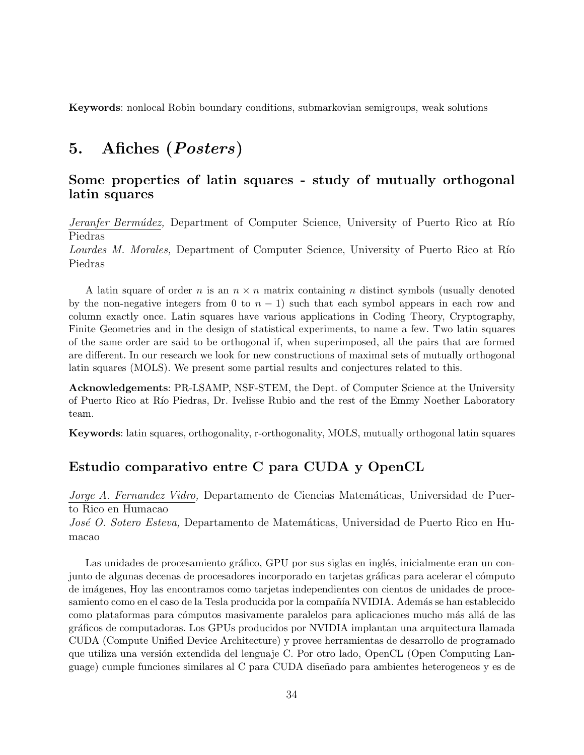Keywords: nonlocal Robin boundary conditions, submarkovian semigroups, weak solutions

# 5. Afiches (Posters)

# Some properties of latin squares - study of mutually orthogonal latin squares

Jeranfer Bermúdez, Department of Computer Science, University of Puerto Rico at Río Piedras

Lourdes M. Morales, Department of Computer Science, University of Puerto Rico at Río Piedras

A latin square of order n is an  $n \times n$  matrix containing n distinct symbols (usually denoted by the non-negative integers from 0 to  $n - 1$ ) such that each symbol appears in each row and column exactly once. Latin squares have various applications in Coding Theory, Cryptography, Finite Geometries and in the design of statistical experiments, to name a few. Two latin squares of the same order are said to be orthogonal if, when superimposed, all the pairs that are formed are different. In our research we look for new constructions of maximal sets of mutually orthogonal latin squares (MOLS). We present some partial results and conjectures related to this.

Acknowledgements: PR-LSAMP, NSF-STEM, the Dept. of Computer Science at the University of Puerto Rico at Río Piedras, Dr. Ivelisse Rubio and the rest of the Emmy Noether Laboratory team.

Keywords: latin squares, orthogonality, r-orthogonality, MOLS, mutually orthogonal latin squares

# Estudio comparativo entre C para CUDA y OpenCL

Jorge A. Fernandez Vidro, Departamento de Ciencias Matemáticas, Universidad de Puerto Rico en Humacao

José O. Sotero Esteva, Departamento de Matemáticas, Universidad de Puerto Rico en Humacao

Las unidades de procesamiento gráfico, GPU por sus siglas en inglés, inicialmente eran un conjunto de algunas decenas de procesadores incorporado en tarjetas gráficas para acelerar el cómputo de im´agenes, Hoy las encontramos como tarjetas independientes con cientos de unidades de procesamiento como en el caso de la Tesla producida por la compañía NVIDIA. Además se han establecido como plataformas para cómputos masivamente paralelos para aplicaciones mucho más allá de las gr´aficos de computadoras. Los GPUs producidos por NVIDIA implantan una arquitectura llamada CUDA (Compute Unified Device Architecture) y provee herramientas de desarrollo de programado que utiliza una versión extendida del lenguaje C. Por otro lado, OpenCL (Open Computing Language) cumple funciones similares al C para CUDA dise˜nado para ambientes heterogeneos y es de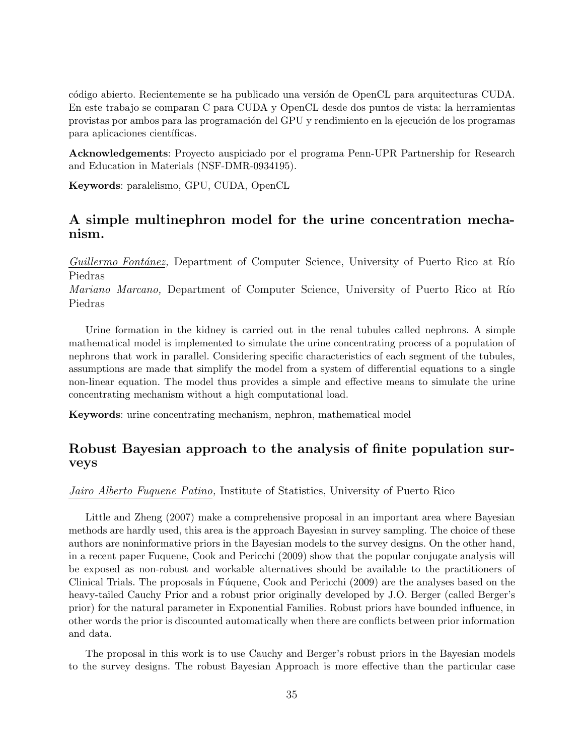código abierto. Recientemente se ha publicado una versión de OpenCL para arquitecturas CUDA. En este trabajo se comparan C para CUDA y OpenCL desde dos puntos de vista: la herramientas provistas por ambos para las programación del GPU y rendimiento en la ejecución de los programas para aplicaciones científicas.

Acknowledgements: Proyecto auspiciado por el programa Penn-UPR Partnership for Research and Education in Materials (NSF-DMR-0934195).

Keywords: paralelismo, GPU, CUDA, OpenCL

# A simple multinephron model for the urine concentration mechanism.

Guillermo Fontánez, Department of Computer Science, University of Puerto Rico at Río Piedras

*Mariano Marcano*, Department of Computer Science, University of Puerto Rico at Río Piedras

Urine formation in the kidney is carried out in the renal tubules called nephrons. A simple mathematical model is implemented to simulate the urine concentrating process of a population of nephrons that work in parallel. Considering specific characteristics of each segment of the tubules, assumptions are made that simplify the model from a system of differential equations to a single non-linear equation. The model thus provides a simple and effective means to simulate the urine concentrating mechanism without a high computational load.

Keywords: urine concentrating mechanism, nephron, mathematical model

# Robust Bayesian approach to the analysis of finite population surveys

Jairo Alberto Fuquene Patino, Institute of Statistics, University of Puerto Rico

Little and Zheng (2007) make a comprehensive proposal in an important area where Bayesian methods are hardly used, this area is the approach Bayesian in survey sampling. The choice of these authors are noninformative priors in the Bayesian models to the survey designs. On the other hand, in a recent paper Fuquene, Cook and Pericchi (2009) show that the popular conjugate analysis will be exposed as non-robust and workable alternatives should be available to the practitioners of Clinical Trials. The proposals in Fuguene, Cook and Pericchi (2009) are the analyses based on the heavy-tailed Cauchy Prior and a robust prior originally developed by J.O. Berger (called Berger's prior) for the natural parameter in Exponential Families. Robust priors have bounded influence, in other words the prior is discounted automatically when there are conflicts between prior information and data.

The proposal in this work is to use Cauchy and Berger's robust priors in the Bayesian models to the survey designs. The robust Bayesian Approach is more effective than the particular case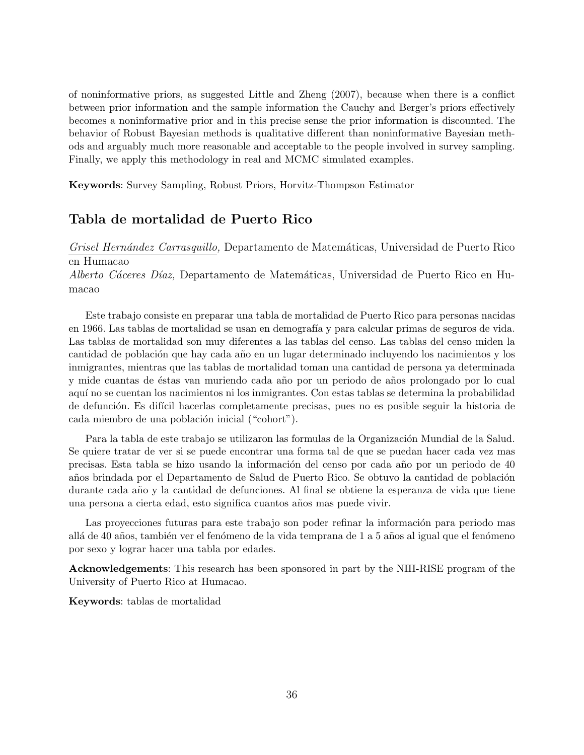of noninformative priors, as suggested Little and Zheng (2007), because when there is a conflict between prior information and the sample information the Cauchy and Berger's priors effectively becomes a noninformative prior and in this precise sense the prior information is discounted. The behavior of Robust Bayesian methods is qualitative different than noninformative Bayesian methods and arguably much more reasonable and acceptable to the people involved in survey sampling. Finally, we apply this methodology in real and MCMC simulated examples.

Keywords: Survey Sampling, Robust Priors, Horvitz-Thompson Estimator

# Tabla de mortalidad de Puerto Rico

Grisel Hernández Carrasquillo, Departamento de Matemáticas, Universidad de Puerto Rico en Humacao

Alberto Cáceres Díaz, Departamento de Matemáticas, Universidad de Puerto Rico en Humacao

Este trabajo consiste en preparar una tabla de mortalidad de Puerto Rico para personas nacidas en 1966. Las tablas de mortalidad se usan en demografía y para calcular primas de seguros de vida. Las tablas de mortalidad son muy diferentes a las tablas del censo. Las tablas del censo miden la cantidad de población que hay cada año en un lugar determinado incluyendo los nacimientos y los inmigrantes, mientras que las tablas de mortalidad toman una cantidad de persona ya determinada y mide cuantas de éstas van muriendo cada año por un periodo de años prolongado por lo cual aqu´ı no se cuentan los nacimientos ni los inmigrantes. Con estas tablas se determina la probabilidad de defunción. Es difícil hacerlas completamente precisas, pues no es posible seguir la historia de cada miembro de una población inicial ("cohort").

Para la tabla de este trabajo se utilizaron las formulas de la Organización Mundial de la Salud. Se quiere tratar de ver si se puede encontrar una forma tal de que se puedan hacer cada vez mas precisas. Esta tabla se hizo usando la información del censo por cada año por un periodo de 40 años brindada por el Departamento de Salud de Puerto Rico. Se obtuvo la cantidad de población durante cada a˜no y la cantidad de defunciones. Al final se obtiene la esperanza de vida que tiene una persona a cierta edad, esto significa cuantos a˜nos mas puede vivir.

Las proyecciones futuras para este trabajo son poder refinar la información para periodo mas allá de 40 años, también ver el fenómeno de la vida temprana de 1 a 5 años al igual que el fenómeno por sexo y lograr hacer una tabla por edades.

Acknowledgements: This research has been sponsored in part by the NIH-RISE program of the University of Puerto Rico at Humacao.

Keywords: tablas de mortalidad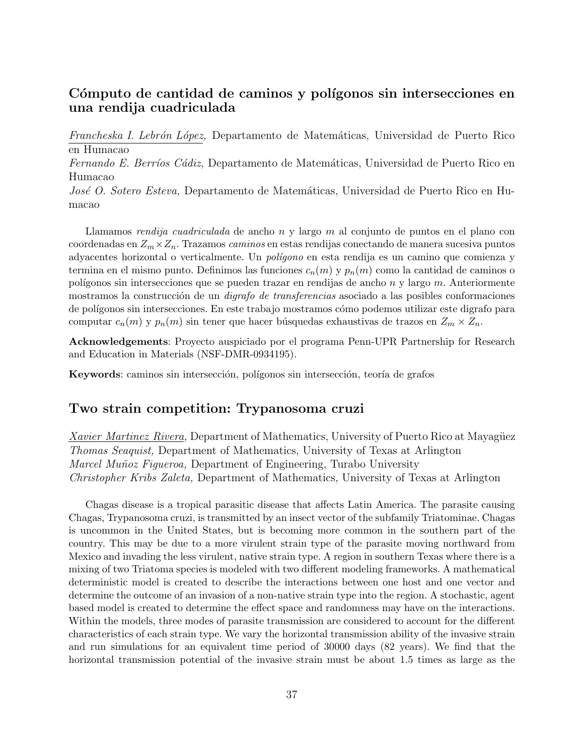# Cómputo de cantidad de caminos y polígonos sin intersecciones en una rendija cuadriculada

Francheska I. Lebrón López, Departamento de Matemáticas, Universidad de Puerto Rico en Humacao

Fernando E. Berríos Cádiz, Departamento de Matemáticas, Universidad de Puerto Rico en Humacao

José O. Sotero Esteva, Departamento de Matemáticas, Universidad de Puerto Rico en Humacao

Llamamos rendija cuadriculada de ancho n y largo m al conjunto de puntos en el plano con coordenadas en  $Z_m \times Z_n$ . Trazamos caminos en estas rendijas conectando de manera sucesiva puntos adyacentes horizontal o verticalmente. Un *polígono* en esta rendija es un camino que comienza y termina en el mismo punto. Definimos las funciones  $c_n(m)$  y  $p_n(m)$  como la cantidad de caminos o polígonos sin intersecciones que se pueden trazar en rendijas de ancho  $n$  y largo  $m$ . Anteriormente mostramos la construcción de un *digrafo de transferencias* asociado a las posibles conformaciones de polígonos sin intersecciones. En este trabajo mostramos cómo podemos utilizar este digrafo para computar  $c_n(m)$  y  $p_n(m)$  sin tener que hacer búsquedas exhaustivas de trazos en  $Z_m \times Z_n$ .

Acknowledgements: Proyecto auspiciado por el programa Penn-UPR Partnership for Research and Education in Materials (NSF-DMR-0934195).

Keywords: caminos sin intersección, polígonos sin intersección, teoría de grafos

# Two strain competition: Trypanosoma cruzi

Xavier Martinez Rivera, Department of Mathematics, University of Puerto Rico at Mayagüez Thomas Seaquist, Department of Mathematics, University of Texas at Arlington Marcel Muñoz Figueroa, Department of Engineering, Turabo University Christopher Kribs Zaleta, Department of Mathematics, University of Texas at Arlington

Chagas disease is a tropical parasitic disease that affects Latin America. The parasite causing Chagas, Trypanosoma cruzi, is transmitted by an insect vector of the subfamily Triatominae. Chagas is uncommon in the United States, but is becoming more common in the southern part of the country. This may be due to a more virulent strain type of the parasite moving northward from Mexico and invading the less virulent, native strain type. A region in southern Texas where there is a mixing of two Triatoma species is modeled with two different modeling frameworks. A mathematical deterministic model is created to describe the interactions between one host and one vector and determine the outcome of an invasion of a non-native strain type into the region. A stochastic, agent based model is created to determine the effect space and randomness may have on the interactions. Within the models, three modes of parasite transmission are considered to account for the different characteristics of each strain type. We vary the horizontal transmission ability of the invasive strain and run simulations for an equivalent time period of 30000 days (82 years). We find that the horizontal transmission potential of the invasive strain must be about 1.5 times as large as the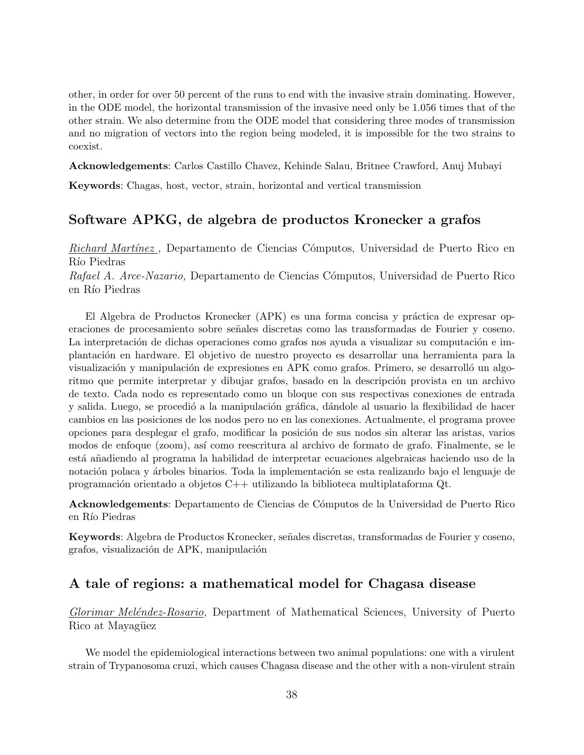other, in order for over 50 percent of the runs to end with the invasive strain dominating. However, in the ODE model, the horizontal transmission of the invasive need only be 1.056 times that of the other strain. We also determine from the ODE model that considering three modes of transmission and no migration of vectors into the region being modeled, it is impossible for the two strains to coexist.

Acknowledgements: Carlos Castillo Chavez, Kehinde Salau, Britnee Crawford, Anuj Mubayi

Keywords: Chagas, host, vector, strain, horizontal and vertical transmission

# Software APKG, de algebra de productos Kronecker a grafos

Richard Martínez, Departamento de Ciencias Cómputos, Universidad de Puerto Rico en Río Piedras

Rafael A. Arce-Nazario, Departamento de Ciencias Cómputos, Universidad de Puerto Rico en Río Piedras

El Algebra de Productos Kronecker (APK) es una forma concisa y práctica de expresar operaciones de procesamiento sobre señales discretas como las transformadas de Fourier y coseno. La interpretación de dichas operaciones como grafos nos ayuda a visualizar su computación e implantaci´on en hardware. El objetivo de nuestro proyecto es desarrollar una herramienta para la visualización y manipulación de expresiones en APK como grafos. Primero, se desarrolló un algoritmo que permite interpretar y dibujar grafos, basado en la descripción provista en un archivo de texto. Cada nodo es representado como un bloque con sus respectivas conexiones de entrada y salida. Luego, se procedió a la manipulación gráfica, dándole al usuario la flexibilidad de hacer cambios en las posiciones de los nodos pero no en las conexiones. Actualmente, el programa provee opciones para desplegar el grafo, modificar la posición de sus nodos sin alterar las aristas, varios modos de enfoque (zoom), as´ı como reescritura al archivo de formato de grafo. Finalmente, se le está añadiendo al programa la habilidad de interpretar ecuaciones algebraicas haciendo uso de la notación polaca y árboles binarios. Toda la implementación se esta realizando bajo el lenguaje de programación orientado a objetos  $C_{++}$  utilizando la biblioteca multiplataforma  $Qt$ .

Acknowledgements: Departamento de Ciencias de C´omputos de la Universidad de Puerto Rico en Río Piedras

Keywords: Algebra de Productos Kronecker, señales discretas, transformadas de Fourier y coseno, grafos, visualización de APK, manipulación

# A tale of regions: a mathematical model for Chagasa disease

Glorimar Meléndez-Rosario, Department of Mathematical Sciences, University of Puerto Rico at Mayagüez

We model the epidemiological interactions between two animal populations: one with a virulent strain of Trypanosoma cruzi, which causes Chagasa disease and the other with a non-virulent strain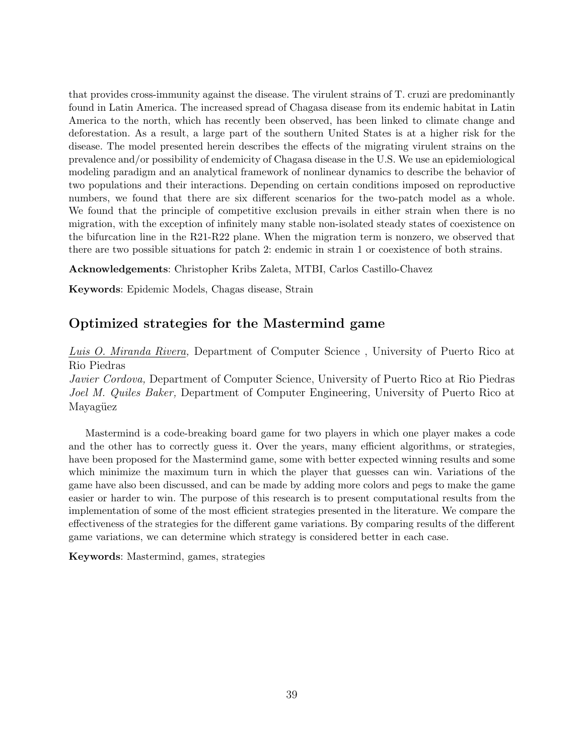that provides cross-immunity against the disease. The virulent strains of T. cruzi are predominantly found in Latin America. The increased spread of Chagasa disease from its endemic habitat in Latin America to the north, which has recently been observed, has been linked to climate change and deforestation. As a result, a large part of the southern United States is at a higher risk for the disease. The model presented herein describes the effects of the migrating virulent strains on the prevalence and/or possibility of endemicity of Chagasa disease in the U.S. We use an epidemiological modeling paradigm and an analytical framework of nonlinear dynamics to describe the behavior of two populations and their interactions. Depending on certain conditions imposed on reproductive numbers, we found that there are six different scenarios for the two-patch model as a whole. We found that the principle of competitive exclusion prevails in either strain when there is no migration, with the exception of infinitely many stable non-isolated steady states of coexistence on the bifurcation line in the R21-R22 plane. When the migration term is nonzero, we observed that there are two possible situations for patch 2: endemic in strain 1 or coexistence of both strains.

Acknowledgements: Christopher Kribs Zaleta, MTBI, Carlos Castillo-Chavez

Keywords: Epidemic Models, Chagas disease, Strain

# Optimized strategies for the Mastermind game

Luis O. Miranda Rivera, Department of Computer Science, University of Puerto Rico at Rio Piedras

Javier Cordova, Department of Computer Science, University of Puerto Rico at Rio Piedras Joel M. Quiles Baker, Department of Computer Engineering, University of Puerto Rico at Mayagüez

Mastermind is a code-breaking board game for two players in which one player makes a code and the other has to correctly guess it. Over the years, many efficient algorithms, or strategies, have been proposed for the Mastermind game, some with better expected winning results and some which minimize the maximum turn in which the player that guesses can win. Variations of the game have also been discussed, and can be made by adding more colors and pegs to make the game easier or harder to win. The purpose of this research is to present computational results from the implementation of some of the most efficient strategies presented in the literature. We compare the effectiveness of the strategies for the different game variations. By comparing results of the different game variations, we can determine which strategy is considered better in each case.

Keywords: Mastermind, games, strategies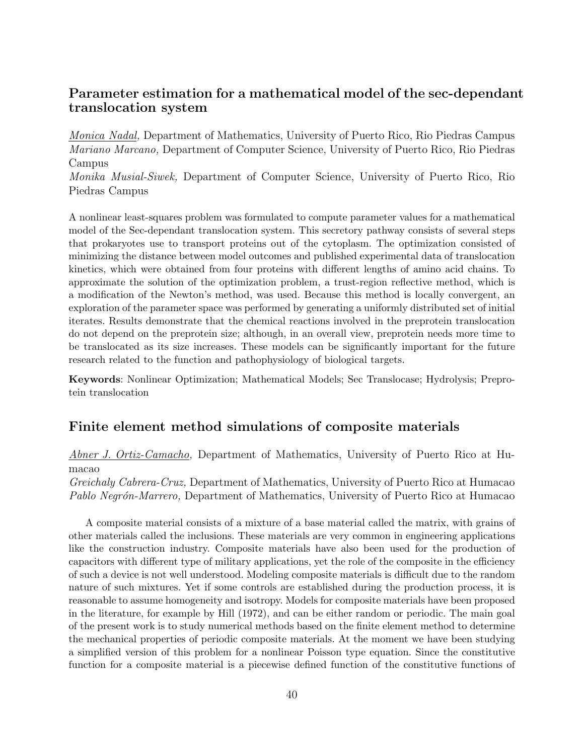# Parameter estimation for a mathematical model of the sec-dependant translocation system

Monica Nadal, Department of Mathematics, University of Puerto Rico, Rio Piedras Campus Mariano Marcano, Department of Computer Science, University of Puerto Rico, Rio Piedras Campus

Monika Musial-Siwek, Department of Computer Science, University of Puerto Rico, Rio Piedras Campus

A nonlinear least-squares problem was formulated to compute parameter values for a mathematical model of the Sec-dependant translocation system. This secretory pathway consists of several steps that prokaryotes use to transport proteins out of the cytoplasm. The optimization consisted of minimizing the distance between model outcomes and published experimental data of translocation kinetics, which were obtained from four proteins with different lengths of amino acid chains. To approximate the solution of the optimization problem, a trust-region reflective method, which is a modification of the Newton's method, was used. Because this method is locally convergent, an exploration of the parameter space was performed by generating a uniformly distributed set of initial iterates. Results demonstrate that the chemical reactions involved in the preprotein translocation do not depend on the preprotein size; although, in an overall view, preprotein needs more time to be translocated as its size increases. These models can be significantly important for the future research related to the function and pathophysiology of biological targets.

Keywords: Nonlinear Optimization; Mathematical Models; Sec Translocase; Hydrolysis; Preprotein translocation

# Finite element method simulations of composite materials

Abner J. Ortiz-Camacho, Department of Mathematics, University of Puerto Rico at Humacao

Greichaly Cabrera-Cruz, Department of Mathematics, University of Puerto Rico at Humacao Pablo Negrón-Marrero, Department of Mathematics, University of Puerto Rico at Humacao

A composite material consists of a mixture of a base material called the matrix, with grains of other materials called the inclusions. These materials are very common in engineering applications like the construction industry. Composite materials have also been used for the production of capacitors with different type of military applications, yet the role of the composite in the efficiency of such a device is not well understood. Modeling composite materials is difficult due to the random nature of such mixtures. Yet if some controls are established during the production process, it is reasonable to assume homogeneity and isotropy. Models for composite materials have been proposed in the literature, for example by Hill (1972), and can be either random or periodic. The main goal of the present work is to study numerical methods based on the finite element method to determine the mechanical properties of periodic composite materials. At the moment we have been studying a simplified version of this problem for a nonlinear Poisson type equation. Since the constitutive function for a composite material is a piecewise defined function of the constitutive functions of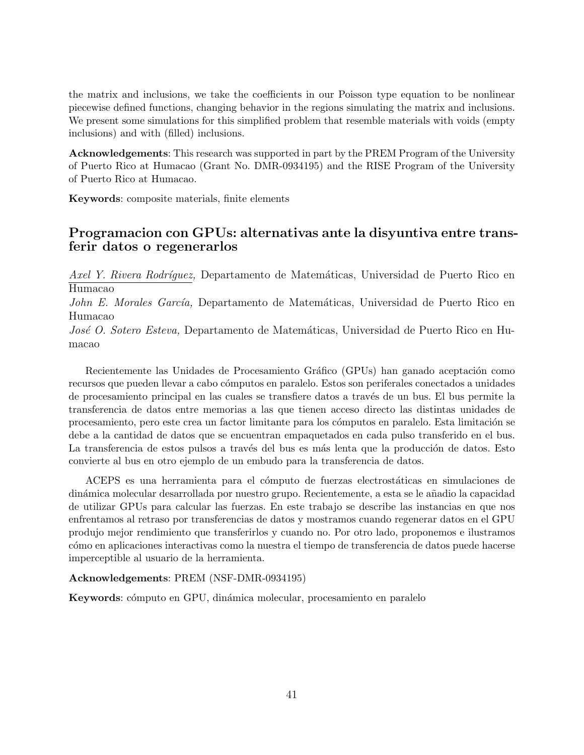the matrix and inclusions, we take the coefficients in our Poisson type equation to be nonlinear piecewise defined functions, changing behavior in the regions simulating the matrix and inclusions. We present some simulations for this simplified problem that resemble materials with voids (empty inclusions) and with (filled) inclusions.

Acknowledgements: This research was supported in part by the PREM Program of the University of Puerto Rico at Humacao (Grant No. DMR-0934195) and the RISE Program of the University of Puerto Rico at Humacao.

Keywords: composite materials, finite elements

# Programacion con GPUs: alternativas ante la disyuntiva entre transferir datos o regenerarlos

Axel Y. Rivera Rodríguez, Departamento de Matemáticas, Universidad de Puerto Rico en Humacao

John E. Morales García, Departamento de Matemáticas, Universidad de Puerto Rico en Humacao

José O. Sotero Esteva, Departamento de Matemáticas, Universidad de Puerto Rico en Humacao

Recientemente las Unidades de Procesamiento Gráfico (GPUs) han ganado aceptación como recursos que pueden llevar a cabo cómputos en paralelo. Estos son periferales conectados a unidades de procesamiento principal en las cuales se transfiere datos a través de un bus. El bus permite la transferencia de datos entre memorias a las que tienen acceso directo las distintas unidades de procesamiento, pero este crea un factor limitante para los cómputos en paralelo. Esta limitación se debe a la cantidad de datos que se encuentran empaquetados en cada pulso transferido en el bus. La transferencia de estos pulsos a través del bus es más lenta que la producción de datos. Esto convierte al bus en otro ejemplo de un embudo para la transferencia de datos.

ACEPS es una herramienta para el cómputo de fuerzas electrostáticas en simulaciones de din´amica molecular desarrollada por nuestro grupo. Recientemente, a esta se le a˜nadio la capacidad de utilizar GPUs para calcular las fuerzas. En este trabajo se describe las instancias en que nos enfrentamos al retraso por transferencias de datos y mostramos cuando regenerar datos en el GPU produjo mejor rendimiento que transferirlos y cuando no. Por otro lado, proponemos e ilustramos c´omo en aplicaciones interactivas como la nuestra el tiempo de transferencia de datos puede hacerse imperceptible al usuario de la herramienta.

#### Acknowledgements: PREM (NSF-DMR-0934195)

Keywords: cómputo en GPU, dinámica molecular, procesamiento en paralelo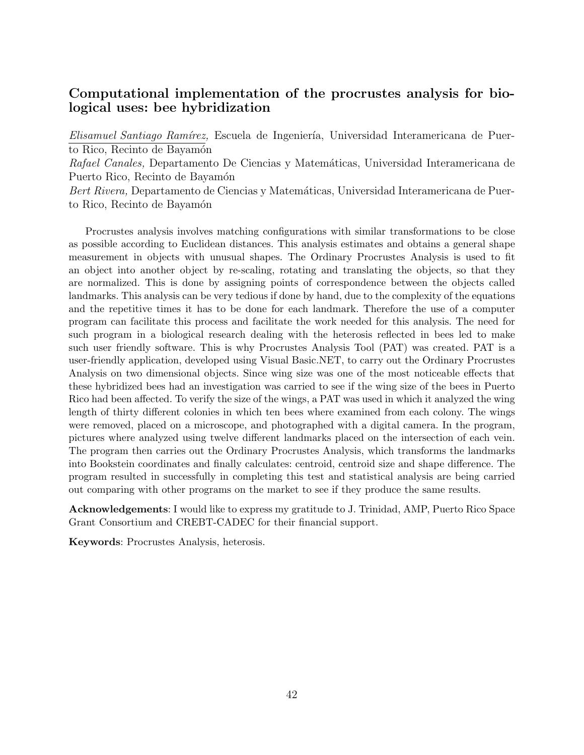# Computational implementation of the procrustes analysis for biological uses: bee hybridization

Elisamuel Santiago Ramírez, Escuela de Ingeniería, Universidad Interamericana de Puerto Rico, Recinto de Bayamón Rafael Canales, Departamento De Ciencias y Matemáticas, Universidad Interamericana de Puerto Rico, Recinto de Bayamón Bert Rivera, Departamento de Ciencias y Matemáticas, Universidad Interamericana de Puerto Rico, Recinto de Bayamón

Procrustes analysis involves matching configurations with similar transformations to be close as possible according to Euclidean distances. This analysis estimates and obtains a general shape measurement in objects with unusual shapes. The Ordinary Procrustes Analysis is used to fit an object into another object by re-scaling, rotating and translating the objects, so that they are normalized. This is done by assigning points of correspondence between the objects called landmarks. This analysis can be very tedious if done by hand, due to the complexity of the equations and the repetitive times it has to be done for each landmark. Therefore the use of a computer program can facilitate this process and facilitate the work needed for this analysis. The need for such program in a biological research dealing with the heterosis reflected in bees led to make such user friendly software. This is why Procrustes Analysis Tool (PAT) was created. PAT is a user-friendly application, developed using Visual Basic.NET, to carry out the Ordinary Procrustes Analysis on two dimensional objects. Since wing size was one of the most noticeable effects that these hybridized bees had an investigation was carried to see if the wing size of the bees in Puerto Rico had been affected. To verify the size of the wings, a PAT was used in which it analyzed the wing length of thirty different colonies in which ten bees where examined from each colony. The wings were removed, placed on a microscope, and photographed with a digital camera. In the program, pictures where analyzed using twelve different landmarks placed on the intersection of each vein. The program then carries out the Ordinary Procrustes Analysis, which transforms the landmarks into Bookstein coordinates and finally calculates: centroid, centroid size and shape difference. The program resulted in successfully in completing this test and statistical analysis are being carried out comparing with other programs on the market to see if they produce the same results.

Acknowledgements: I would like to express my gratitude to J. Trinidad, AMP, Puerto Rico Space Grant Consortium and CREBT-CADEC for their financial support.

Keywords: Procrustes Analysis, heterosis.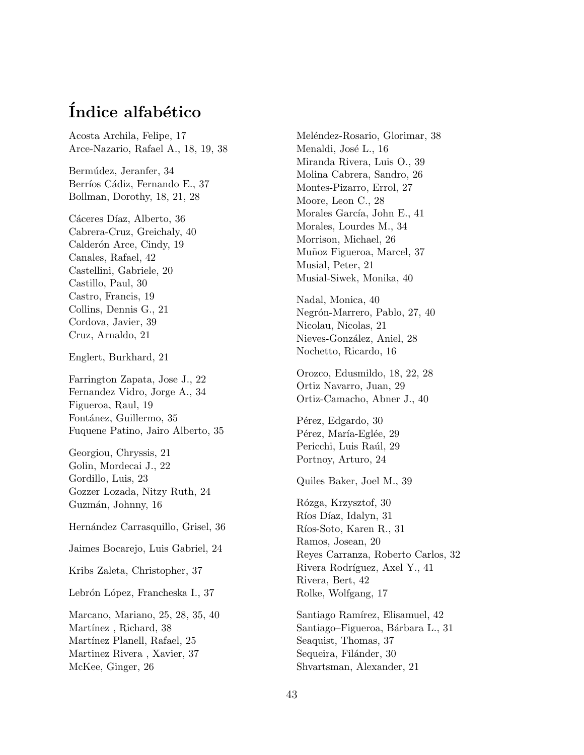# Índice alfabético

Acosta Archila, Felipe, 17 Arce-Nazario, Rafael A., 18, 19, 38

Bermúdez, Jeranfer, 34 Berríos Cádiz, Fernando E., 37 Bollman, Dorothy, 18, 21, 28

Cáceres Díaz, Alberto, 36 Cabrera-Cruz, Greichaly, 40 Calderón Arce, Cindy, 19 Canales, Rafael, 42 Castellini, Gabriele, 20 Castillo, Paul, 30 Castro, Francis, 19 Collins, Dennis G., 21 Cordova, Javier, 39 Cruz, Arnaldo, 21

Englert, Burkhard, 21

Farrington Zapata, Jose J., 22 Fernandez Vidro, Jorge A., 34 Figueroa, Raul, 19 Fontánez, Guillermo, 35 Fuquene Patino, Jairo Alberto, 35

Georgiou, Chryssis, 21 Golin, Mordecai J., 22 Gordillo, Luis, 23 Gozzer Lozada, Nitzy Ruth, 24 Guzmán, Johnny, 16

Hernández Carrasquillo, Grisel, 36

Jaimes Bocarejo, Luis Gabriel, 24

Kribs Zaleta, Christopher, 37

Lebrón López, Francheska I., 37

Marcano, Mariano, 25, 28, 35, 40 Martínez, Richard, 38 Martínez Planell, Rafael, 25 Martinez Rivera , Xavier, 37 McKee, Ginger, 26

Meléndez-Rosario, Glorimar, 38 Menaldi, José L., 16 Miranda Rivera, Luis O., 39 Molina Cabrera, Sandro, 26 Montes-Pizarro, Errol, 27 Moore, Leon C., 28 Morales García, John E., 41 Morales, Lourdes M., 34 Morrison, Michael, 26 Muñoz Figueroa, Marcel, 37 Musial, Peter, 21 Musial-Siwek, Monika, 40

Nadal, Monica, 40 Negrón-Marrero, Pablo, 27, 40 Nicolau, Nicolas, 21 Nieves-González, Aniel, 28 Nochetto, Ricardo, 16

Orozco, Edusmildo, 18, 22, 28 Ortiz Navarro, Juan, 29 Ortiz-Camacho, Abner J., 40

Pérez, Edgardo, 30 Pérez, María-Eglée, 29 Pericchi, Luis Raúl, 29 Portnoy, Arturo, 24

Quiles Baker, Joel M., 39

R´ozga, Krzysztof, 30 Ríos Díaz, Idalyn, 31 Ríos-Soto, Karen R., 31 Ramos, Josean, 20 Reyes Carranza, Roberto Carlos, 32 Rivera Rodríguez, Axel Y., 41 Rivera, Bert, 42 Rolke, Wolfgang, 17

Santiago Ramírez, Elisamuel, 42 Santiago–Figueroa, Bárbara L., 31 Seaquist, Thomas, 37 Sequeira, Filánder, 30 Shvartsman, Alexander, 21